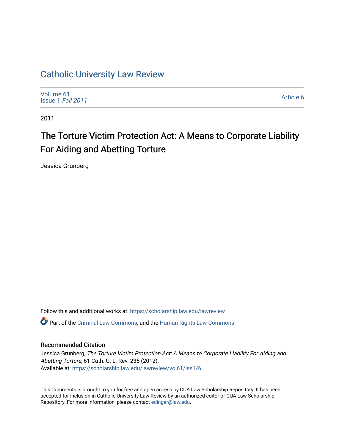# [Catholic University Law Review](https://scholarship.law.edu/lawreview)

[Volume 61](https://scholarship.law.edu/lawreview/vol61) [Issue 1](https://scholarship.law.edu/lawreview/vol61/iss1) Fall 2011

[Article 6](https://scholarship.law.edu/lawreview/vol61/iss1/6) 

2011

# The Torture Victim Protection Act: A Means to Corporate Liability For Aiding and Abetting Torture

Jessica Grunberg

Follow this and additional works at: [https://scholarship.law.edu/lawreview](https://scholarship.law.edu/lawreview?utm_source=scholarship.law.edu%2Flawreview%2Fvol61%2Fiss1%2F6&utm_medium=PDF&utm_campaign=PDFCoverPages)

Part of the [Criminal Law Commons,](http://network.bepress.com/hgg/discipline/912?utm_source=scholarship.law.edu%2Flawreview%2Fvol61%2Fiss1%2F6&utm_medium=PDF&utm_campaign=PDFCoverPages) and the [Human Rights Law Commons](http://network.bepress.com/hgg/discipline/847?utm_source=scholarship.law.edu%2Flawreview%2Fvol61%2Fiss1%2F6&utm_medium=PDF&utm_campaign=PDFCoverPages) 

# Recommended Citation

Jessica Grunberg, The Torture Victim Protection Act: A Means to Corporate Liability For Aiding and Abetting Torture, 61 Cath. U. L. Rev. 235 (2012). Available at: [https://scholarship.law.edu/lawreview/vol61/iss1/6](https://scholarship.law.edu/lawreview/vol61/iss1/6?utm_source=scholarship.law.edu%2Flawreview%2Fvol61%2Fiss1%2F6&utm_medium=PDF&utm_campaign=PDFCoverPages)

This Comments is brought to you for free and open access by CUA Law Scholarship Repository. It has been accepted for inclusion in Catholic University Law Review by an authorized editor of CUA Law Scholarship Repository. For more information, please contact [edinger@law.edu.](mailto:edinger@law.edu)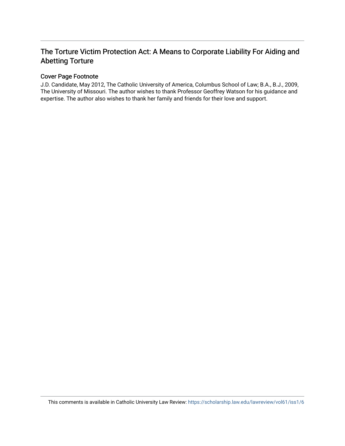# The Torture Victim Protection Act: A Means to Corporate Liability For Aiding and Abetting Torture

# Cover Page Footnote

J.D. Candidate, May 2012, The Catholic University of America, Columbus School of Law; B.A., B.J., 2009, The University of Missouri. The author wishes to thank Professor Geoffrey Watson for his guidance and expertise. The author also wishes to thank her family and friends for their love and support.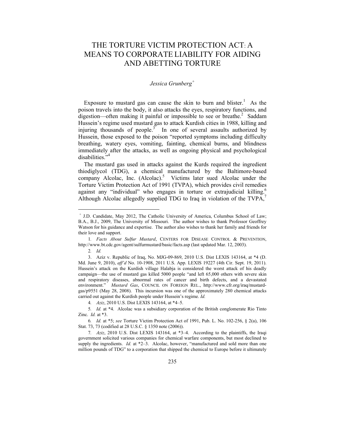# THE TORTURE VICTIM PROTECTION ACT: A MEANS TO CORPORATE LIABILITY FOR AIDING AND ABETTING TORTURE

# *Jessica Grunberg<sup>+</sup>*

Exposure to mustard gas can cause the skin to burn and blister.<sup>1</sup> As the poison travels into the body, it also attacks the eyes, respiratory functions, and digestion—often making it painful or impossible to see or breathe.<sup>2</sup> Saddam Hussein's regime used mustard gas to attack Kurdish cities in 1988, killing and injuring thousands of people.<sup>3</sup> In one of several assaults authorized by Hussein, those exposed to the poison "reported symptoms including difficulty breathing, watery eyes, vomiting, fainting, chemical burns, and blindness immediately after the attacks, as well as ongoing physical and psychological disabilities."<sup>4</sup>

The mustard gas used in attacks against the Kurds required the ingredient thiodiglycol (TDG), a chemical manufactured by the Baltimore-based company Alcolac, Inc. (Alcolac).<sup>5</sup> Victims later sued Alcolac under the Torture Victim Protection Act of 1991 (TVPA), which provides civil remedies against any "individual" who engages in torture or extrajudicial killing.<sup>6</sup> Although Alcolac allegedly supplied TDG to Iraq in violation of the TVPA, $^7$ 

2*. Id.*

1

4*. Aziz*, 2010 U.S. Dist LEXIS 143164, at \*4–5.

<sup>+</sup> J.D. Candidate, May 2012, The Catholic University of America, Columbus School of Law; B.A., B.J., 2009, The University of Missouri. The author wishes to thank Professor Geoffrey Watson for his guidance and expertise. The author also wishes to thank her family and friends for their love and support.

<sup>1</sup>*. Facts About Sulfur Mustard*, CENTERS FOR DISEASE CONTROL & PREVENTION, http://www.bt.cdc.gov/agent/sulfurmustard/basic/facts.asp (last updated Mar. 12, 2003).

 <sup>3.</sup> Aziz v. Republic of Iraq, No. MJG-09-869, 2010 U.S. Dist LEXIS 143164, at \*4 (D. Md. June 9, 2010), *aff'd* No. 10-1908, 2011 U.S. App. LEXIS 19227 (4th Cir. Sept. 19, 2011). Hussein's attack on the Kurdish village Halabja is considered the worst attack of his deadly campaign—the use of mustard gas killed 5000 people "and left 65,000 others with severe skin and respiratory diseases, abnormal rates of cancer and birth defects, and a devastated environment." *Mustard Gas*, COUNCIL ON FOREIGN REL., http://www.cfr.org/iraq/mustardgas/p9551 (May 28, 2008). This incursion was one of the approximately 280 chemical attacks carried out against the Kurdish people under Hussein's regime. *Id.*

<sup>5</sup>*. Id.* at \*4. Alcolac was a subsidiary corporation of the British conglomerate Rio Tinto Zinc. *Id.* at \*3.

<sup>6</sup>*. Id.* at \*5; *see* Torture Victim Protection Act of 1991, Pub. L. No. 102-256, § 2(a), 106 Stat. 73, 73 (codified at 28 U.S.C. § 1350 note (2006)).

<sup>7</sup>*. Aziz*, 2010 U.S. Dist LEXIS 143164, at \*3–4. According to the plaintiffs, the Iraqi government solicited various companies for chemical warfare components, but most declined to supply the ingredients. *Id.* at \*2–3. Alcolac, however, "manufactured and sold more than one million pounds of TDG" to a corporation that shipped the chemical to Europe before it ultimately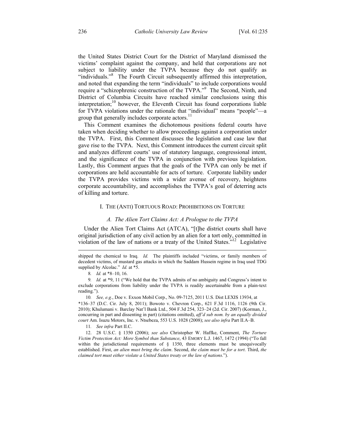the United States District Court for the District of Maryland dismissed the victims' complaint against the company, and held that corporations are not subject to liability under the TVPA because they do not qualify as "individuals."<sup>8</sup> The Fourth Circuit subsequently affirmed this interpretation, and noted that expanding the term "individuals" to include corporations would require a "schizophrenic construction of the TVPA."<sup>9</sup> The Second, Ninth, and District of Columbia Circuits have reached similar conclusions using this interpretation;<sup>10</sup> however, the Eleventh Circuit has found corporations liable for TVPA violations under the rationale that "individual" means "people"—a group that generally includes corporate actors.<sup>11</sup>

This Comment examines the dichotomous positions federal courts have taken when deciding whether to allow proceedings against a corporation under the TVPA. First, this Comment discusses the legislation and case law that gave rise to the TVPA. Next, this Comment introduces the current circuit split and analyzes different courts' use of statutory language, congressional intent, and the significance of the TVPA in conjunction with previous legislation. Lastly, this Comment argues that the goals of the TVPA can only be met if corporations are held accountable for acts of torture. Corporate liability under the TVPA provides victims with a wider avenue of recovery, heightens corporate accountability, and accomplishes the TVPA's goal of deterring acts of killing and torture.

# I. THE (ANTI) TORTUOUS ROAD: PROHIBITIONS ON TORTURE

#### *A. The Alien Tort Claims Act: A Prologue to the TVPA*

Under the Alien Tort Claims Act (ATCA), "[t]he district courts shall have original jurisdiction of any civil action by an alien for a tort only, committed in violation of the law of nations or a treaty of the United States."12 Legislative

 $\overline{a}$ 

9*. Id.* at \*9, 11 ("We hold that the TVPA admits of no ambiguity and Congress's intent to exclude corporations from liability under the TVPA is readily ascertainable from a plain-text reading.").

10*. See, e.g.*, Doe v. Exxon Mobil Corp., No. 09-7125, 2011 U.S. Dist LEXIS 13934, at \*136–37 (D.C. Cir. July 8, 2011); Bowoto v. Chevron Corp., 621 F.3d 1116, 1126 (9th Cir. 2010); Khulumani v. Barclay Nat'l Bank Ltd., 504 F.3d 254, 323–24 (2d. Cir. 2007) (Korman, J., concurring in part and dissenting in part) (citations omitted), *aff'd sub nom. by an equally divided court* Am. Isuzu Motors, Inc. v. Ntsebeza, 553 U.S. 1028 (2008); *see also infra* Part II.A–B.

11*. See infra* Part II.C.

 12. 28 U.S.C. § 1350 (2006); *see also* Christopher W. Haffke, Comment, *The Torture Victim Protection Act: More Symbol than Substance*, 43 EMORY L.J. 1467, 1472 (1994) ("To fall within the jurisdictional requirements of § 1350, three elements must be unequivocally established. First, *an alien must bring the claim*. Second, *the claim must be for a tort*. Third, *the claimed tort must either violate a United States treaty or the law of nations*.").

shipped the chemical to Iraq. *Id.* The plaintiffs included "victims, or family members of decedent victims, of mustard gas attacks in which the Saddam Hussein regime in Iraq used TDG supplied by Alcolac." *Id.* at \*5.

<sup>8</sup>*. Id.* at \*8–10, 16.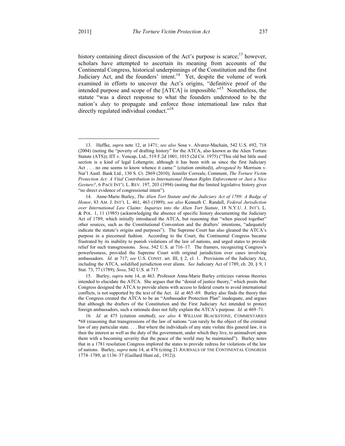<u>.</u>

history containing direct discussion of the Act's purpose is scarce;<sup>13</sup> however, scholars have attempted to ascertain its meaning from accounts of the Continental Congress, historical underpinnings of the Constitution and the first Judiciary Act, and the founders' intent.<sup>14</sup> Yet, despite the volume of work examined in efforts to uncover the Act's origins, "definitive proof of the intended purpose and scope of the [ATCA] is impossible."15 Nonetheless, the statute "was a direct response to what the founders understood to be the nation's *duty* to propagate and enforce those international law rules that directly regulated individual conduct."<sup>16</sup>

 15. Burley, *supra* note 14, at 463. Professor Anna-Marie Burley criticizes various theories intended to elucidate the ATCA. She argues that the "denial of justice theory," which posits that Congress designed the ATCA to provide aliens with access to federal courts to avoid international conflicts, is not supported by the text of the Act. *Id.* at 465–69. Burley also finds the theory that the Congress created the ATCA to be an "Ambassador Protection Plan" inadequate, and argues that although the drafters of the Constitution and the First Judiciary Act intended to protect foreign ambassadors, such a rationale does not fully explain the ATCA's purpose. *Id.* at 469–71.

16*. Id.* at 475 (citation omitted); *see also* 4 WILLIAM BLACKSTONE, COMMENTARIES \*68 (reasoning that transgressions of the law of nations "can rarely be the object of the criminal law of any particular state. . . . But where the individuals of any state violate this general law, it is then the interest as well as the duty of the government, under which they live, to animadvert upon them with a becoming severity that the peace of the world may be maintained"). Burley notes that in a 1781 resolution Congress implored the states to provide redress for violations of the law of nations. Burley, *supra* note 14, at 476 (citing 21 JOURNALS OF THE CONTINENTAL CONGRESS 1774–1789, at 1136–37 (Gaillard Hunt ed., 1912)).

 <sup>13.</sup> Haffke, *supra* note 12, at 1471; *see also* Sosa v. Alvarez-Machain, 542 U.S. 692, 718 (2004) (noting the "poverty of drafting history" for the ATCA, also known as the Alien Torture Statute (ATS)); IIT v. Vencap, Ltd., 519 F.2d 1001, 1015 (2d Cir. 1975) ("This old but little used section is a kind of legal Lohengrin; although it has been with us since the first Judiciary Act . . . no one seems to know whence it came." (citation omitted)), *abrogated by* Morrison v. Nat'l Austl. Bank Ltd., 130 S. Ct. 2869 (2010); Jennifer Correale, Comment, *The Torture Victim Protection Act: A Vital Contribution to International Human Rights Enforcement or Just a Nice Gesture?*, 6 PACE INT'L L. REV. 197, 203 (1994) (noting that the limited legislative history gives "no direct evidence of congressional intent").

 <sup>14.</sup> Anne-Marie Burley, *The Alien Tort Statute and the Judiciary Act of 1789: A Badge of Honor*, 83 AM. J. INT'L L. 461, 463 (1989); *see also* Kenneth C. Randall, *Federal Jurisdiction over International Law Claims: Inquiries into the Alien Tort Statute*, 18 N.Y.U. J. INT'L L. & POL. 1, 11 (1985) (acknowledging the absence of specific history documenting the Judiciary Act of 1789, which initially introduced the ATCA, but reasoning that "when pieced together" other sources, such as the Constitutional Convention and the drafters' intentions, "adequately indicate the statute's origins and purposes"). The Supreme Court has also gleaned the ATCA's purpose in a piecemeal fashion. According to the Court, the Continental Congress became frustrated by its inability to punish violations of the law of nations, and urged states to provide relief for such transgressions. *Sosa*, 542 U.S. at 716–17. The framers, recognizing Congress's powerlessness, provided the Supreme Court with original jurisdiction over cases involving ambassadors. *Id.* at 717; *see* U.S. CONST. art. III, § 2, cl. 1. Provisions of the Judiciary Act, including the ATCA, solidified jurisdiction over aliens. *See* Judiciary Act of 1789, ch. 20, § 9, 1 Stat. 73, 77 (1789); *Sosa*, 542 U.S. at 717.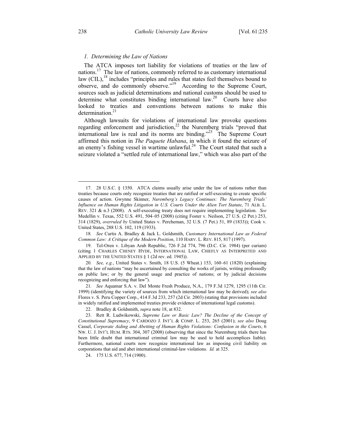#### *1. Determining the Law of Nations*

The ATCA imposes tort liability for violations of treaties or the law of nations.<sup>17</sup> The law of nations, commonly referred to as customary international law (CIL),<sup>18</sup> includes "principles and rules that states feel themselves bound to observe, and do commonly observe."19 According to the Supreme Court, sources such as judicial determinations and national customs should be used to determine what constitutes binding international law.<sup>20</sup> Courts have also looked to treaties and conventions between nations to make this determination. $21$ 

Although lawsuits for violations of international law provoke questions regarding enforcement and jurisdiction, $22$  the Nuremberg trials "proved that international law is real and its norms are binding."23 The Supreme Court affirmed this notion in *The Paquete Habana*, in which it found the seizure of an enemy's fishing vessel in wartime unlawful.<sup>24</sup> The Court stated that such a seizure violated a "settled rule of international law," which was also part of the

18*. See* Curtis A. Bradley & Jack L. Goldsmith, *Customary International Law as Federal Common Law: A Critique of the Modern Position*, 110 HARV. L. REV. 815, 817 (1997).

 19. Tel-Oren v. Libyan Arab Republic, 726 F.2d 774, 796 (D.C. Cir. 1984) (per curiam) (citing 1 CHARLES CHENEY HYDE, INTERNATIONAL LAW, CHIEFLY AS INTERPRETED AND APPLIED BY THE UNITED STATES § 1 (2d rev. ed. 1945)).

20*. See, e.g.*, United States v. Smith, 18 U.S. (5 Wheat.) 153, 160–61 (1820) (explaining that the law of nations "may be ascertained by consulting the works of jurists, writing professedly on public law; or by the general usage and practice of nations; or by judicial decisions recognizing and enforcing that law").

21*. See* Aquamar S.A. v. Del Monte Fresh Produce, N.A., 179 F.3d 1279, 1295 (11th Cir. 1999) (identifying the variety of sources from which international law may be derived); *see also* Flores v. S. Peru Copper Corp., 414 F.3d 233, 257 (2d Cir. 2003) (stating that provisions included in widely ratified and implemented treaties provide evidence of international legal customs).

22. Bradley & Goldsmith, *supra* note 18, at 832.

24. 175 U.S. 677, 714 (1900).

1

 <sup>17. 28</sup> U.S.C. § 1350. ATCA claims usually arise under the law of nations rather than treaties because courts only recognize treaties that are ratified or self-executing to create specific causes of action. Gwynne Skinner, *Nuremberg's Legacy Continues: The Nuremberg Trials' Influence on Human Rights Litigation in U.S. Courts Under the Alien Tort Statute*, 71 ALB. L. REV. 321 & n.3 (2008). A self-executing treaty does not require implementing legislation. *See* Medellin v. Texas, 552 U.S. 491, 504–05 (2008) (citing Foster v. Neilson, 27 U.S. (2 Pet.) 253, 314 (1829), *overruled by* United States v. Percheman, 32 U.S. (7 Pet.) 51, 89 (1833)); Cook v. United States, 288 U.S. 102, 119 (1933).

 <sup>23.</sup> Rett R. Ludwikowski, *Supreme Law or Basic Law? The Decline of the Concept of Constitutional Supremacy*, 9 CARDOZO J. INT'L & COMP. L. 253, 265 (2001); *see also* Doug Cassel, *Corporate Aiding and Abetting of Human Rights Violations: Confusion in the Courts*, 6 NW. U. J. INT'L HUM. RTS. 304, 307 (2008) (observing that since the Nuremburg trials there has been little doubt that international criminal law may be used to hold accomplices liable). Furthermore, national courts now recognize international law as imposing civil liability on corporations that aid and abet international criminal-law violations. *Id.* at 325.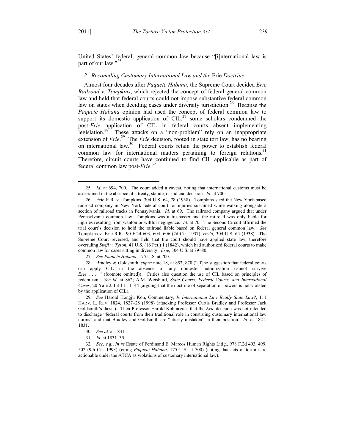United States' federal, general common law because "[i]nternational law is part of our law."<sup>25</sup>

#### *2. Reconciling Customary International Law and the* Erie *Doctrine*

Almost four decades after *Paquete Habana*, the Supreme Court decided *Erie Railroad v. Tompkins*, which rejected the concept of federal general common law and held that federal courts could not impose substantive federal common law on states when deciding cases under diversity jurisdiction.<sup>26</sup> Because the *Paquete Habana* opinion had used the concept of federal common law to support its domestic application of  $\text{CIL}$ ,<sup>27</sup> some scholars condemned the post-*Erie* application of CIL in federal courts absent implementing legislation.<sup>28</sup> These attacks on a "non-problem" rely on an inappropriate extension of *Erie*.<sup>29</sup> The *Erie* decision, rooted in state tort law, has no bearing on international law.<sup>30</sup> Federal courts retain the power to establish federal common law for international matters pertaining to foreign relations.<sup>31</sup> Therefore, circuit courts have continued to find CIL applicable as part of federal common law post-*Erie*. 32

27*. See Paquete Habana*, 175 U.S. at 700.

 28. Bradley & Goldsmith, *supra* note 18, at 853, 870 ("[T]he suggestion that federal courts can apply CIL in the absence of any domestic authorization cannot survive *Erie* . . . ." (footnote omitted)). Critics also question the use of CIL based on principles of federalism. *See id.* at 862; A.M. Weisburd, *State Courts, Federal Courts, and International Cases*, 20 Yale J. Int'l L. 1, 44 (arguing that the doctrine of separation of powers is not violated by the application of CIL).

29*. See* Harold Hongju Koh, Commentary, *Is International Law Really State Law?*, 111 HARV. L. REV. 1824, 1827–28 (1998) (attacking Professor Curtis Bradley and Professor Jack Goldsmith's thesis). Then-Professor Harold Koh argues that the *Erie* decision was not intended to discharge "federal courts from their traditional role in construing customary international law norms" and that Bradley and Goldsmith are "utterly mistaken" in their position. *Id.* at 1821, 1831.

31*. Id.* at 1831–35.

32*. See, e.g.*, *In re* Estate of Ferdinand E. Marcos Human Rights Litig., 978 F.2d 493, 499, 502 (9th Cir. 1993) (citing *Paquete Habana,* 175 U.S. at 700) (noting that acts of torture are actionable under the ATCA as violations of customary international law).

 <sup>25</sup>*. Id.* at 694, 700. The court added a caveat, noting that international customs must be ascertained in the absence of a treaty, statute, or judicial decision. *Id.* at 700.

 <sup>26.</sup> Erie R.R. v. Tompkins, 304 U.S. 64, 78 (1938). Tompkins sued the New York-based railroad company in New York federal court for injuries sustained while walking alongside a section of railroad tracks in Pennsylvania. *Id.* at 69. The railroad company argued that under Pennsylvania common law, Tompkins was a trespasser and the railroad was only liable for injuries resulting from wanton or willful negligence. *Id.* at 70. The Second Circuit affirmed the trial court's decision to hold the railroad liable based on federal general common law. *See* Tompkins v. Erie R.R., 90 F.2d 603, 604, 606 (2d Cir. 1937), *rev'd,* 304 U.S. 64 (1938). The Supreme Court reversed, and held that the court should have applied state law, therefore overruling *Swift v. Tyson*, 41 U.S. (16 Pet.) 1 (1842), which had authorized federal courts to make common law for cases sitting in diversity. *Erie*, 304 U.S. at 79–80.

<sup>30</sup>*. See id.* at 1831.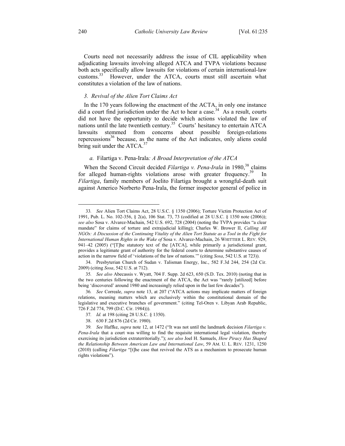Courts need not necessarily address the issue of CIL applicability when adjudicating lawsuits involving alleged ATCA and TVPA violations because both acts specifically allow lawsuits for violations of certain international-law customs.<sup>33</sup> However, under the ATCA, courts must still ascertain what constitutes a violation of the law of nations.

#### *3. Revival of the Alien Tort Claims Act*

In the 170 years following the enactment of the ACTA, in only one instance did a court find jurisdiction under the Act to hear a case.<sup>34</sup> As a result, courts did not have the opportunity to decide which actions violated the law of nations until the late twentieth century.<sup>35</sup> Courts' hesitancy to entertain ATCA lawsuits stemmed from concerns about possible foreign-relations repercussions $36$  because, as the name of the Act indicates, only aliens could bring suit under the ATCA.<sup>37</sup>

# *a.* Filartiga v. Pena-Irala*: A Broad Interpretation of the ATCA*

When the Second Circuit decided *Filartiga v. Pena-Irala* in 1980,<sup>38</sup> claims for alleged human-rights violations arose with greater frequency.<sup>39</sup> *Filartiga*, family members of Joelito Filartiga brought a wrongful-death suit against Americo Norberto Pena-Irala, the former inspector general of police in

 <sup>33</sup>*. See* Alien Tort Claims Act, 28 U.S.C. § 1350 (2006); Torture Victim Protection Act of 1991, Pub. L. No. 102-356, § 2(a), 106 Stat. 73, 73 (codified at 28 U.S.C. § 1350 note (2006)); *see also* Sosa v. Alvarez-Machain, 542 U.S. 692, 728 (2004) (noting the TVPA provides "a clear mandate" for claims of torture and extrajudicial killing); Charles W. Brower II, *Calling All NGOs: A Discussion of the Continuing Vitality of the Alien Tort Statute as a Tool in the Fight for International Human Rights in the Wake of* Sosa v. Alvarez-Machain, 26 WHITTIER L. REV. 929, 941–42 (2005) ("[T]he statutory text of the [ATCA], while primarily a jurisdictional grant, provides a legitimate grant of authority for the federal courts to determine substantive causes of action in the narrow field of 'violations of the law of nations.'" (citing *Sosa*, 542 U.S. at 723)).

 <sup>34.</sup> Presbyterian Church of Sudan v. Talisman Energy, Inc., 582 F.3d 244, 254 (2d Cir. 2009) (citing *Sosa*, 542 U.S. at 712).

<sup>35</sup>*. See also* Abecassis v. Wyatt, 704 F. Supp. 2d 623, 650 (S.D. Tex. 2010) (noting that in the two centuries following the enactment of the ATCA, the Act was "rarely [utilized] before being 'discovered' around 1980 and increasingly relied upon in the last few decades").

<sup>36</sup>*. See* Correale, *supra* note 13, at 207 ("ATCA actions may implicate matters of foreign relations, meaning matters which are exclusively within the constitutional domain of the legislative and executive branches of government." (citing Tel-Oren v. Libyan Arab Republic, 726 F.2d 774, 799 (D.C. Cir. 1984))).

<sup>37</sup>*. Id.* at 198 (citing 28 U.S.C. § 1350).

 <sup>38. 630</sup> F.2d 876 (2d Cir. 1980).

<sup>39</sup>*. See* Haffke, *supra* note 12, at 1472 ("It was not until the landmark decision *Filartiga v. Pena-Irala* that a court was willing to find the requisite international legal violation, thereby exercising its jurisdiction extraterritorially."); *see also* Joel H. Samuels, *How Piracy Has Shaped the Relationship Between American Law and International Law*, 59 AM. U. L. REV. 1231, 1250 (2010) (calling *Filartiga* "[t]he case that revived the ATS as a mechanism to prosecute human rights violations").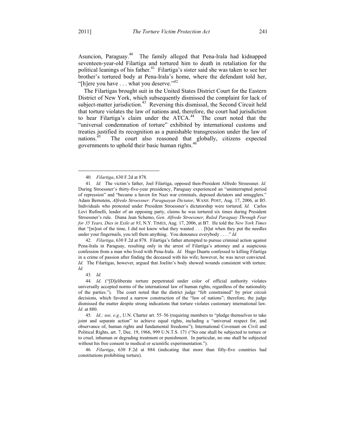Asuncion, Paraguay.<sup>40</sup> The family alleged that Pena-Irala had kidnapped seventeen-year-old Filartiga and tortured him to death in retaliation for the political leanings of his father.<sup>41</sup> Filartiga's sister said she was taken to see her brother's tortured body at Pena-Irala's home, where the defendant told her, "[h]ere you have . . . what you deserve."<sup>42</sup>

The Filartigas brought suit in the United States District Court for the Eastern District of New York, which subsequently dismissed the complaint for lack of subject-matter jurisdiction.<sup>43</sup> Reversing this dismissal, the Second Circuit held that torture violates the law of nations and, therefore, the court had jurisdiction to hear Filartiga's claim under the  $ATCA$ <sup>44</sup> The court noted that the "universal condemnation of torture" exhibited by international customs and treaties justified its recognition as a punishable transgression under the law of nations.<sup>45</sup> The court also reasoned that globally, citizens expected governments to uphold their basic human rights.<sup>46</sup>

42*. Filartiga*, 630 F.2d at 878. Filartiga's father attempted to pursue criminal action against Pena-Irala in Paraguay, resulting only in the arrest of Filartiga's attorney and a suspicious confession from a man who lived with Pena-Irala. *Id.* Hugo Duarte confessed to killing Filartiga in a crime of passion after finding the deceased with his wife; however, he was never convicted. *Id.* The Filartigas, however, argued that Joelito's body showed wounds consistent with torture. *Id.*

43*. Id.*

46*. Filartiga*, 630 F.2d at 884 (indicating that more than fifty-five countries had constitutions prohibiting torture).

 <sup>40</sup>*. Filartiga*, 630 F.2d at 878.

<sup>41</sup>*. Id.* The victim's father, Joel Filartiga, opposed then-President Alfredo Stroessner. *Id.* During Stroessner's thirty-five-year presidency, Paraguay experienced an "uninterrupted period of repression" and "became a haven for Nazi war criminals, deposed dictators and smugglers." Adam Bernstein, *Alfredo Stroessner: Paraguayan Dictator*, WASH. POST, Aug. 17, 2006, at B5. Individuals who protested under President Stroessner's dictatorship were tortured. *Id.* Carlos Levi Rufinelli, leader of an opposing party, claims he was tortured six times during President Stroessner's rule. Diana Jean Schemo, *Gen. Alfredo Stroessner, Ruled Paraguay Through Fear for 35 Years, Dies in Exile at 93*, N.Y. TIMES, Aug. 17, 2006, at B7. He told the *New York Times* that "[m]ost of the time, I did not know what they wanted . . . [b]ut when they put the needles under your fingernails, you tell them anything. You denounce everybody . . . ." *Id.*

<sup>44</sup>*. Id.* ("[D]eliberate torture perpetrated under color of official authority violates universally accepted norms of the international law of human rights, regardless of the nationality of the parties."). The court noted that the district judge "felt constrained" by prior circuit decisions, which favored a narrow construction of the "law of nations"; therefore, the judge dismissed the matter despite strong indications that torture violates customary international law. *Id.* at 880.

<sup>45</sup>*. Id.; see, e.g.*, U.N. Charter art. 55–56 (requiring members to "pledge themselves to take joint and separate action" to achieve equal rights, including a "universal respect for, and observance of, human rights and fundamental freedoms"); International Covenant on Civil and Political Rights, art. 7, Dec. 19, 1966, 999 U.N.T.S. 171 ("No one shall be subjected to torture or to cruel, inhuman or degrading treatment or punishment. In particular, no one shall be subjected without his free consent to medical or scientific experimentation.").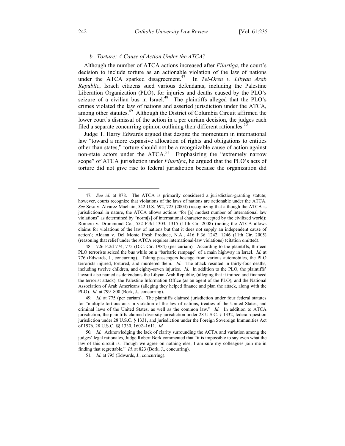#### *b. Torture: A Cause of Action Under the ATCA?*

Although the number of ATCA actions increased after *Filartiga*, the court's decision to include torture as an actionable violation of the law of nations under the ATCA sparked disagreement.<sup>47</sup> In *Tel-Oren v. Libyan Arab Republic*, Israeli citizens sued various defendants, including the Palestine Liberation Organization (PLO), for injuries and deaths caused by the PLO's seizure of a civilian bus in Israel. $48$  The plaintiffs alleged that the PLO's crimes violated the law of nations and asserted jurisdiction under the ATCA, among other statutes.<sup>49</sup> Although the District of Columbia Circuit affirmed the lower court's dismissal of the action in a per curiam decision, the judges each filed a separate concurring opinion outlining their different rationales.<sup>50</sup>

Judge T. Harry Edwards argued that despite the momentum in international law "toward a more expansive allocation of rights and obligations to entities other than states," torture should not be a recognizable cause of action against non-state actors under the ATCA.<sup>51</sup> Emphasizing the "extremely narrow scope" of ATCA jurisdiction under *Filartiga*, he argued that the PLO's acts of torture did not give rise to federal jurisdiction because the organization did

 <sup>47</sup>*. See id.* at 878. The ATCA is primarily considered a jurisdiction-granting statute; however, courts recognize that violations of the laws of nations are actionable under the ATCA. *See* Sosa v. Alvarez-Machain, 542 U.S. 692, 725 (2004) (recognizing that although the ATCA is jurisdictional in nature, the ATCA allows actions "for [a] modest number of international law violations" as determined by "norm[s] of international character accepted by the civilized world); Romero v. Drummond Co., 552 F.3d 1303, 1315 (11th Cir. 2008) (noting the ATCA allows claims for violations of the law of nations but that it does not supply an independent cause of action); Aldana v. Del Monte Fresh Produce, N.A., 416 F.3d 1242, 1246 (11th Cir. 2005) (reasoning that relief under the ATCA requires international-law violations) (citation omitted).

 <sup>48. 726</sup> F.2d 774, 775 (D.C. Cir. 1984) (per curiam). According to the plaintiffs, thirteen PLO terrorists seized the bus while on a "barbaric rampage" of a main highway in Israel. *Id.* at 776 (Edwards, J., concurring). Taking passengers hostage from various automobiles, the PLO terrorists injured, tortured, and murdered them. *Id.* The attack resulted in thirty-four deaths, including twelve children, and eighty-seven injuries. *Id.* In addition to the PLO, the plaintiffs' lawsuit also named as defendants the Libyan Arab Republic, (alleging that it trained and financed the terrorist attack), the Palestine Information Office (as an agent of the PLO), and the National Association of Arab Americans (alleging they helped finance and plan the attack, along with the PLO). *Id.* at 799–800 (Bork, J., concurring).

<sup>49</sup>*. Id.* at 775 (per curiam). The plaintiffs claimed jurisdiction under four federal statutes for "multiple tortious acts in violation of the law of nations, treaties of the United States, and criminal laws of the United States, as well as the common law." *Id.* In addition to ATCA jurisdiction, the plaintiffs claimed diversity jurisdiction under 28 U.S.C. § 1332, federal-question jurisdiction under 28 U.S.C. § 1331, and jurisdiction under the Foreign Sovereign Immunities Act of 1976, 28 U.S.C. §§ 1330, 1602–1611. *Id.*

<sup>50</sup>*. Id.* Acknowledging the lack of clarity surrounding the ACTA and variation among the judges' legal rationales, Judge Robert Bork commented that "it is impossible to say even what the law of this circuit is. Though we agree on nothing else, I am sure my colleagues join me in finding that regrettable." *Id.* at 823 (Bork, J., concurring).

<sup>51</sup>*. Id.* at 795 (Edwards, J., concurring).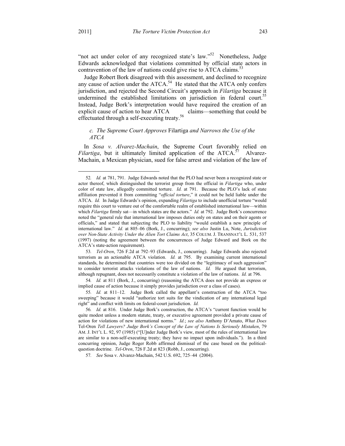"not act under color of any recognized state's law."<sup>52</sup> Nonetheless, Judge Edwards acknowledged that violations committed by official state actors in contravention of the law of nations could give rise to ATCA claims.<sup>33</sup>

Judge Robert Bork disagreed with this assessment, and declined to recognize any cause of action under the  $ATCA$ .<sup>54</sup> He stated that the  $ATCA$  only confers jurisdiction, and rejected the Second Circuit's approach in *Filartiga* because it undermined the established limitations on jurisdiction in federal court.<sup>55</sup> Instead, Judge Bork's interpretation would have required the creation of an explicit cause of action to hear ATCA claims—something that could be effectuated through a self-executing treaty.<sup>56</sup>

# *c. The Supreme Court Approves* Filartiga *and Narrows the Use of the ATCA*

In *Sosa v. Alvarez-Machain*, the Supreme Court favorably relied on *Filartiga*, but it ultimately limited application of the  $ATCA$ <sup>57</sup> Alvarez-Machain, a Mexican physician, sued for false arrest and violation of the law of

53*. Tel-Oren*, 726 F.2d at 792–93 (Edwards, J., concurring). Judge Edwards also rejected terrorism as an actionable ATCA violation. *Id.* at 795. By examining current international standards, he determined that countries were too divided on the "legitimacy of such aggression" to consider terrorist attacks violations of the law of nations. *Id.* He argued that terrorism, although repugnant, does not necessarily constitute a violation of the law of nations. *Id.* at 796.

54*. Id.* at 811 (Bork, J., concurring) (reasoning the ATCA does not provide an express or implied cause of action because it simply provides jurisdiction over a class of cases).

55*. Id.* at 811–12. Judge Bork called the appellant's construction of the ATCA "too sweeping" because it would "authorize tort suits for the vindication of any international legal right" and conflict with limits on federal-court jurisdiction. *Id.*

57*. See* Sosa v. Alvarez-Machain, 542 U.S. 692, 725–44 (2004).

 <sup>52</sup>*. Id.* at 781, 791. Judge Edwards noted that the PLO had never been a recognized state or actor thereof, which distinguished the terrorist group from the official in *Filartiga* who, under color of state law, allegedly committed torture. *Id.* at 791. Because the PLO's lack of state affiliation prevented it from committing "*official torture*," it could not be held liable under the ATCA. *Id.* In Judge Edwards's opinion, expanding *Filartiga* to include unofficial torture "would require this court to venture out of the comfortable realm of established international law—within which *Filartiga* firmly sat—in which states are the actors." *Id.* at 792. Judge Bork's concurrence noted the "general rule that international law imposes duties only on states and on their agents or officials," and stated that subjecting the PLO to liability "would establish a new principle of international law." *Id.* at 805–06 (Bork, J., concurring); *see also* Justin Lu, Note, *Jurisdiction over Non-State Activity Under the Alien Tort Claims Act*, 35 COLUM. J. TRANSNAT'L L. 531, 537 (1997) (noting the agreement between the concurrences of Judge Edward and Bork on the ATCA's state-action requirement).

<sup>56</sup>*. Id.* at 816. Under Judge Bork's construction, the ATCA's "current function would be quite modest unless a modern statute, treaty, or executive agreement provided a private cause of action for violations of new international norms." *Id.*; *see also* Anthony D'Amato, *What Does*  Tel-Oren *Tell Lawyers? Judge Bork's Concept of the Law of Nations Is Seriously Mistaken*, 79 AM. J. INT'L L. 92, 97 (1985) ("[U]nder Judge Bork's view, most of the rules of international law are similar to a non-self-executing treaty; they have no impact upon individuals."). In a third concurring opinion, Judge Roger Robb affirmed dismissal of the case based on the politicalquestion doctrine. *Tel-Oren*, 726 F.2d at 823 (Robb, J., concurring).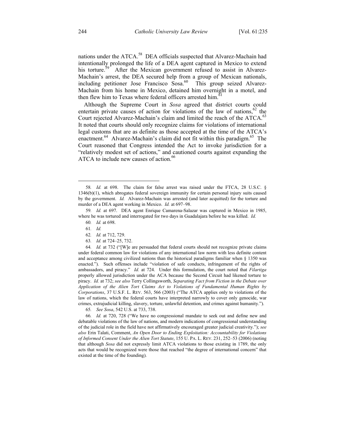nations under the ATCA.<sup>58</sup> DEA officials suspected that Alvarez-Machain had intentionally prolonged the life of a DEA agent captured in Mexico to extend his torture.<sup>59</sup> After the Mexican government refused to assist in Alvarez-Machain's arrest, the DEA secured help from a group of Mexican nationals, including petitioner Jose Francisco Sosa.<sup>60</sup> This group seized Alvarez-Machain from his home in Mexico, detained him overnight in a motel, and then flew him to Texas where federal officers arrested him.<sup>61</sup>

Although the Supreme Court in *Sosa* agreed that district courts could entertain private causes of action for violations of the law of nations,  $62$  the Court rejected Alvarez-Machain's claim and limited the reach of the ATCA.<sup>63</sup> It noted that courts should only recognize claims for violations of international legal customs that are as definite as those accepted at the time of the ATCA's enactment.<sup>64</sup> Alvarez-Machain's claim did not fit within this paradigm.<sup>65</sup> The Court reasoned that Congress intended the Act to invoke jurisdiction for a "relatively modest set of actions," and cautioned courts against expanding the ATCA to include new causes of action.<sup>66</sup>

- 62*. Id.* at 712, 729.
- 63*. Id.* at 724–25, 732.

64*. Id.* at 732 ("[W]e are persuaded that federal courts should not recognize private claims under federal common law for violations of any international law norm with less definite content and acceptance among civilized nations than the historical paradigms familiar when § 1350 was enacted."). Such offenses include "violation of safe conducts, infringement of the rights of ambassadors, and piracy." *Id.* at 724. Under this formulation, the court noted that *Filartiga* properly allowed jurisdiction under the ACA because the Second Circuit had likened torture to piracy. *Id.* at 732; *see also* Terry Collingsworth, *Separating Fact from Fiction in the Debate over Application of the Alien Tort Claims Act to Violations of Fundamental Human Rights by Corporations*, 37 U.S.F. L. REV. 563, 566 (2003) ("The ATCA applies only to violations of the law of nations, which the federal courts have interpreted narrowly to cover only genocide, war crimes, extrajudicial killing, slavery, torture, unlawful detention, and crimes against humanity.").

65*. See Sosa*, 542 U.S. at 733, 738.

66*. Id.* at 720, 728 ("We have no congressional mandate to seek out and define new and debatable violations of the law of nations, and modern indications of congressional understanding of the judicial role in the field have not affirmatively encouraged greater judicial creativity."); *see also* Erin Talati, Comment, *An Open Door to Ending Exploitation: Accountability for Violations of Informed Consent Under the Alien Tort Statute*, 155 U. PA. L. REV. 231, 252–53 (2006) (noting that although *Sosa* did not expressly limit ATCA violations to those existing in 1789, the only acts that would be recognized were those that reached "the degree of international concern" that existed at the time of the founding).

 <sup>58</sup>*. Id.* at 698. The claim for false arrest was raised under the FTCA, 28 U.S.C. § 1346(b)(1), which abrogates federal sovereign immunity for certain personal injury suits caused by the government. *Id.* Alvarez-Machain was arrested (and later acquitted) for the torture and murder of a DEA agent working in Mexico. *Id.* at 697–98.

<sup>59</sup>*. Id.* at 697. DEA agent Enrique Camarena-Salazar was captured in Mexico in 1985, where he was tortured and interrogated for two days in Guadalajara before he was killed. *Id.*

<sup>60</sup>*. Id.* at 698.

<sup>61</sup>*. Id.*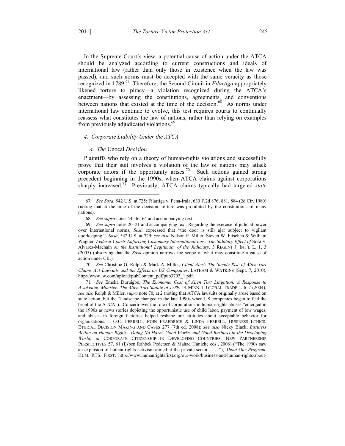In the Supreme Court's view, a potential cause of action under the ATCA should be analyzed according to current constructions and ideals of international law (rather than only those in existence when the law was passed), and such norms must be accepted with the same veracity as those recognized in 1789.<sup>67</sup> Therefore, the Second Circuit in *Filartiga* appropriately likened torture to piracy—a violation recognized during the ATCA's enactment—by assessing the constitutions, agreements, and conventions between nations that existed at the time of the decision.<sup>68</sup> As norms under international law continue to evolve, this test requires courts to continually reassess what constitutes the law of nations, rather than relying on examples from previously adjudicated violations.<sup>69</sup>

#### *4. Corporate Liability Under the ATCA*

#### *a. The* Unocal *Decision*

Plaintiffs who rely on a theory of human-rights violations and successfully prove that their suit involves a violation of the law of nations may attack corporate actors if the opportunity arises.<sup>70</sup> Such actions gained strong precedent beginning in the 1990s, when ATCA claims against corporations sharply increased.<sup>71</sup> Previously, ATCA claims typically had targeted *state* 

70*. See* Christine G. Rolph & Mark A. Miller, *Client Alert: The Steady Rise of Alien Tort Claims Act Lawsuits and the Effects on US Companies*, LATHAM & WATKINS (Sept. 7, 2010), http://www.lw.com/upload/pubContent\_pdf/pub3703\_1.pdf.

 <sup>67</sup>*. See Sosa*, 542 U.S. at 725; Filartiga v. Pena-Irala, 630 F.2d 876, 881, 884 (2d Cir. 1980) (noting that at the time of the decision, torture was prohibited by the constitutions of many nations).

<sup>68</sup>*. See supra* notes 44–46, 64 and accompanying text.

<sup>69</sup>*. See supra* notes 20–21 and accompanying text. Regarding the exercise of judicial power over international norms, *Sosa* expressed that "the door is still ajar subject to vigilant doorkeeping." *Sosa*, 542 U.S. at 729; *see also* Nelson P. Miller, Steven W. Fitschen & William Wagner, Federal Courts Enforcing Customary International Law: The Salutary Effect of Sosa v. Alvarez-Machain *on the Institutional Legitimacy of the Judiciary*, 3 REGENT J. INT'L L. 1, 3 (2005) (observing that the *Sosa* opinion narrows the scope of what may constitute a cause of action under CIL).

<sup>71</sup>*. See* Emeka Duruigbo, *The Economic Cost of Alien Tort Litigation: A Response to Awakening Monster: The Alien Tort Statute of 1789*, 14 MINN. J. GLOBAL TRADE 1, 6–7 (2004); *see also* Rolph & Miller, *supra* note 70, at 2 (noting that ATCA lawsuits originally arose based on state action, but the "landscape changed in the late 1990s when US companies began to feel the brunt of the ATCA"). Concern over the role of corporations in human-rights abuses "emerged in the 1990s as news stories depicting the opportunistic use of child labor, payment of low wages, and abuses in foreign factories helped reshape our attitudes about acceptable behavior for organizations." O.C. FERRELL, JOHN FRAEDRICH & LINDA FERRELL, BUSINESS ETHICS: ETHICAL DECISION MAKING AND CASES 277 (7th ed. 2008); *see also* Nicky Black, *Business Action on Human Rights—Doing No Harm, Good Works, and Good Business in the Developing World*, *in* CORPORATE CITIZENSHIP IN DEVELOPING COUNTRIES: NEW PARTNERSHIP PERSPECTIVES 57, 61 (Esben Rahbek Pedersen & Mahad Huniche eds., 2006) ("The 1990s saw an explosion of human rights activism aimed at the private sector . . . ."); *About Our Program*, HUM. RTS. FIRST, http://www.humanrightsfirst.org/our-work/business-and-human-rights/about-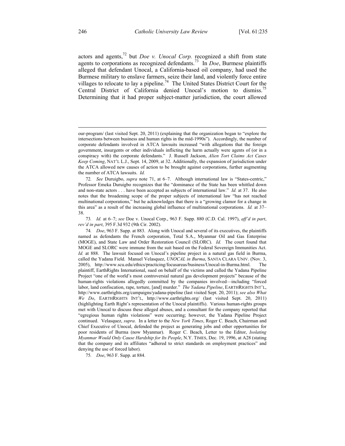actors and agents,<sup>72</sup> but *Doe v. Unocal Corp.* recognized a shift from state agents to corporations as recognized defendants.<sup>73</sup> In *Doe*, Burmese plaintiffs alleged that defendant Unocal, a California-based oil company, had used the Burmese military to enslave farmers, seize their land, and violently force entire villages to relocate to lay a pipeline.<sup>74</sup> The United States District Court for the Central District of California denied Unocal's motion to dismiss.<sup>75</sup> Determining that it had proper subject-matter jurisdiction, the court allowed

73*. Id.* at 6–7; *see* Doe v. Unocal Corp., 963 F. Supp. 880 (C.D. Cal. 1997), *aff'd in part*, *rev'd in part*, 395 F.3d 932 (9th Cir. 2002).

75*. Doe*, 963 F. Supp. at 884.

 $\overline{a}$ 

our-program/ (last visited Sept. 20, 2011) (explaining that the organization began to "explore the intersections between business and human rights in the mid-1990s"). Accordingly, the number of corporate defendants involved in ATCA lawsuits increased "with allegations that the foreign government, insurgents or other individuals inflicting the harm actually were agents of (or in a conspiracy with) the corporate defendants." J. Russell Jackson, *Alien Tort Claims Act Cases Keep Coming*, NAT'L L.J., Sept. 14, 2009, at 32. Additionally, the expansion of jurisdiction under the ATCA allowed new causes of action to be brought against corporations, further augmenting the number of ATCA lawsuits. *Id.*

<sup>72</sup>*. See* Duruigbo, *supra* note 71, at 6–7. Although international law is "States-centric," Professor Emeka Duruigbo recognizes that the "dominance of the State has been whittled down and non-state actors . . . have been accepted as subjects of international law." *Id.* at 37. He also notes that the broadening scope of the proper subjects of international law "has not reached multinational corporations," but he acknowledges that there is a "growing clamor for a change in this area" as a result of the increasing global influence of multinational corporations. *Id.* at 37– 38.

<sup>74</sup>*. Doe*, 963 F. Supp. at 883. Along with Unocal and several of its executives, the plaintiffs named as defendants the French corporation, Total S.A., Myanmar Oil and Gas Enterprise (MOGE), and State Law and Order Restoration Council (SLORC). *Id.* The court found that MOGE and SLORC were immune from the suit based on the Federal Sovereign Immunities Act. *Id.* at 888. The lawsuit focused on Unocal's pipeline project in a natural gas field in Burma, called the Yadana Field. Manuel Velasquez, *UNOCAL in Burma*, SANTA CLARA UNIV. (Nov. 3, 2005), http://www.scu.edu/ethics/practicing/focusareas/business/Unocal-in-Burma.html. The plaintiff, EarthRights International, sued on behalf of the victims and called the Yadana Pipeline Project "one of the world's most controversial natural gas development projects" because of the human-rights violations allegedly committed by the companies involved—including "forced labor, land confiscation, rape, torture, [and] murder." *The Yadana Pipeline*, EARTHRIGHTS INT'L, http://www.earthrights.org/campaigns/yadana-pipeline (last visited Sept. 20, 2011); *see also What We Do*, EARTHRIGHTS INT'L, http://www.earthrights.org/ (last visited Sept. 20, 2011) (highlighting Earth Right's representation of the Unocal plaintiffs). Various human-rights groups met with Unocal to discuss these alleged abuses, and a consultant for the company reported that "egregious human rights violations" were occurring; however, the Yadana Pipeline Project continued. Velasquez, *supra*. In a letter to the *New York Times*, Roger C. Beach, Chairman and Chief Executive of Unocal, defended the project as generating jobs and other opportunities for poor residents of Burma (now Myanmar). Roger C. Beach, Letter to the Editor, *Isolating Myanmar Would Only Cause Hardship for Its People*, N.Y. TIMES, Dec. 19, 1996, at A28 (stating that the company and its affiliates "adhered to strict standards on employment practices" and denying the use of forced labor).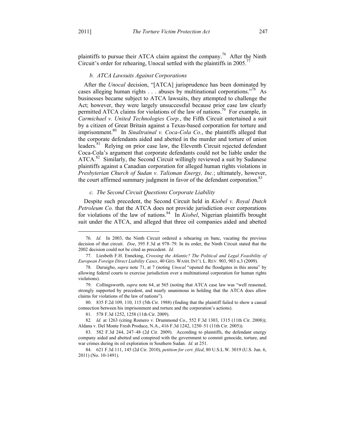plaintiffs to pursue their ATCA claim against the company.<sup>76</sup> After the Ninth Circuit's order for rehearing, Unocal settled with the plaintiffs in 2005.<sup>77</sup>

### *b. ATCA Lawsuits Against Corporations*

After the *Unocal* decision, "[ATCA] jurisprudence has been dominated by cases alleging human rights . . . abuses by multinational corporations."<sup>78</sup> As businesses became subject to ATCA lawsuits, they attempted to challenge the Act; however, they were largely unsuccessful because prior case law clearly permitted ATCA claims for violations of the law of nations.<sup>79</sup> For example, in *Carmichael v. United Technologies Corp.*, the Fifth Circuit entertained a suit by a citizen of Great Britain against a Texas-based corporation for torture and imprisonment.<sup>80</sup> In *Sinaltrainal v. Coca-Cola Co.*, the plaintiffs alleged that the corporate defendants aided and abetted in the murder and torture of union leaders.<sup>81</sup> Relying on prior case law, the Eleventh Circuit rejected defendant Coca-Cola's argument that corporate defendants could not be liable under the ATCA.<sup>82</sup> Similarly, the Second Circuit willingly reviewed a suit by Sudanese plaintiffs against a Canadian corporation for alleged human rights violations in *Presbyterian Church of Sudan v. Talisman Energy, Inc.*; ultimately, however, the court affirmed summary judgment in favor of the defendant corporation.<sup>83</sup>

#### *c. The Second Circuit Questions Corporate Liability*

Despite such precedent, the Second Circuit held in *Kiobel v. Royal Dutch Petroleum Co.* that the ATCA does not provide jurisdiction over corporations for violations of the law of nations.<sup>84</sup> In *Kiobel*, Nigerian plaintiffs brought suit under the ATCA, and alleged that three oil companies aided and abetted

 <sup>76</sup>*. Id.* In 2003, the Ninth Circuit ordered a rehearing en banc, vacating the previous decision of that circuit. *Doe*, 395 F.3d at 978–79. In its order, the Ninth Circuit stated that the 2002 decision could not be cited as precedent. *Id.*

 <sup>77.</sup> Liesbeth F.H. Enneking, *Crossing the Atlantic? The Political and Legal Feasibility of European Foreign Direct Liability Cases*, 40 GEO. WASH. INT'L L. REV. 903, 903 n.3 (2009).

 <sup>78.</sup> Duruigbo, *supra* note 71, at 7 (noting *Unocal* "opened the floodgates in this arena" by allowing federal courts to exercise jurisdiction over a multinational corporation for human rights violations).

 <sup>79.</sup> Collingsworth, *supra* note 64, at 565 (noting that ATCA case law was "well reasoned, strongly supported by precedent, and nearly unanimous in holding that the ATCA does allow claims for violations of the law of nations").

 <sup>80. 835</sup> F.2d 109, 110, 115 (5th Cir. 1988) (finding that the plaintiff failed to show a causal connection between his imprisonment and torture and the corporation's actions).

 <sup>81. 578</sup> F.3d 1252, 1258 (11th Cir. 2009).

<sup>82</sup>*. Id.* at 1263 (citing Romero v. Drummond Co., 552 F.3d 1303, 1315 (11th Cir. 2008)); Aldana v. Del Monte Fresh Produce, N.A., 416 F.3d 1242, 1250–51 (11th Cir. 2005)).

 <sup>83. 582</sup> F.3d 244, 247–48 (2d Cir. 2009). According to plaintiffs, the defendant energy company aided and abetted and conspired with the government to commit genocide, torture, and war crimes during its oil exploration in Southern Sudan. *Id.* at 251.

 <sup>84. 621</sup> F.3d 111, 145 (2d Cir. 2010), *petition for cert. filed*, 80 U.S.L.W. 3019 (U.S. Jun. 6, 2011) (No. 10-1491).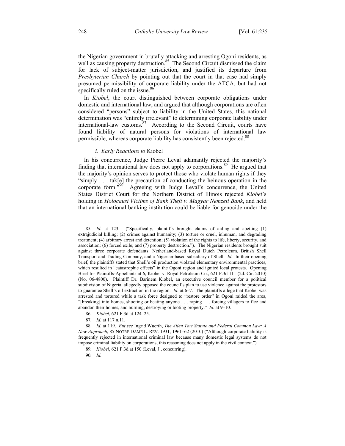the Nigerian government in brutally attacking and arresting Ogoni residents, as well as causing property destruction.<sup>85</sup> The Second Circuit dismissed the claim for lack of subject-matter jurisdiction, and justified its departure from *Presbyterian Church* by pointing out that the court in that case had simply presumed permissibility of corporate liability under the ATCA, but had not specifically ruled on the issue.<sup>86</sup>

In *Kiobel*, the court distinguished between corporate obligations under domestic and international law, and argued that although corporations are often considered "persons" subject to liability in the United States, this national determination was "entirely irrelevant" to determining corporate liability under international-law customs. $87$  According to the Second Circuit, courts have found liability of natural persons for violations of international law permissible, whereas corporate liability has consistently been rejected.<sup>88</sup>

#### *i. Early Reactions to* Kiobel

In his concurrence, Judge Pierre Leval adamantly rejected the majority's finding that international law does not apply to corporations.<sup>89</sup> He argued that the majority's opinion serves to protect those who violate human rights if they "simply  $\dots$  tak[e] the precaution of conducting the heinous operation in the corporate form." Agreeing with Judge Leval's concurrence, the United Agreeing with Judge Leval's concurrence, the United States District Court for the Northern District of Illinois rejected *Kiobel*'s holding in *Holocaust Victims of Bank Theft v. Magyar Nemzeti Bank*, and held that an international banking institution could be liable for genocide under the

 <sup>85</sup>*. Id.* at 123. ("Specifically, plaintiffs brought claims of aiding and abetting (1) extrajudicial killing; (2) crimes against humanity; (3) torture or cruel, inhuman, and degrading treatment; (4) arbitrary arrest and detention; (5) violation of the rights to life, liberty, security, and association; (6) forced exile; and (7) property destruction."). The Nigerian residents brought suit against three corporate defendants: Netherland-based Royal Dutch Petroleum, British Shell Transport and Trading Company, and a Nigerian-based subsidiary of Shell. *Id.* In their opening brief, the plaintiffs stated that Shell's oil production violated elementary environmental practices, which resulted in "catastrophic effects" in the Ogoni region and ignited local protests. Opening Brief for Plaintiffs-Appellants at 6, Kiobel v. Royal Petroleum Co., 621 F.3d 111 (2d. Cir. 2010) (No. 06-4800). Plaintiff Dr. Barinem Kiobel, an executive council member for a political subdivision of Nigeria, allegedly opposed the council's plan to use violence against the protestors to guarantee Shell's oil extraction in the region. *Id.* at 6–7. The plaintiffs allege that Kiobel was arrested and tortured while a task force designed to "restore order" in Ogoni raided the area, "[breaking] into homes, shooting or beating anyone . . . raping . . . forcing villagers to flee and abandon their homes, and burning, destroying or looting property." *Id.* at 9–10.

<sup>86</sup>*. Kiobel*, 621 F.3d at 124–25.

<sup>87</sup>*. Id.* at 117 n.11.

<sup>88</sup>*. Id.* at 119. *But see* Ingrid Wuerth, *The Alien Tort Statute and Federal Common Law: A New Approach*, 85 NOTRE DAME L. REV. 1931, 1961–62 (2010) ("Although corporate liability is frequently rejected in international criminal law because many domestic legal systems do not impose criminal liability on corporations, this reasoning does not apply in the civil context.").

<sup>89</sup>*. Kiobel*, 621 F.3d at 150 (Leval, J., concurring).

<sup>90</sup>*. Id.*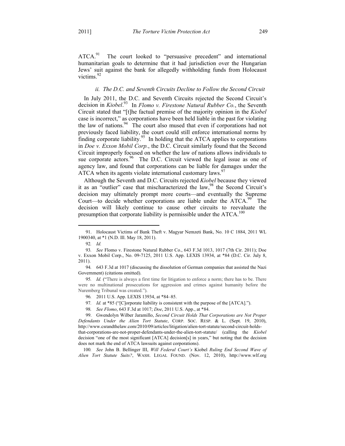ATCA.<sup>91</sup> The court looked to "persuasive precedent" and international humanitarian goals to determine that it had jurisdiction over the Hungarian Jews' suit against the bank for allegedly withholding funds from Holocaust victims.<sup>92</sup>

# *ii. The D.C. and Seventh Circuits Decline to Follow the Second Circuit*

In July 2011, the D.C. and Seventh Circuits rejected the Second Circuit's decision in *Kiobel*. 93 In *Flomo v. Firestone Natural Rubber Co.*, the Seventh Circuit stated that "[t]he factual premise of the majority opinion in the *Kiobel* case is incorrect," as corporations have been held liable in the past for violating the law of nations. $94$  The court also mused that even if corporations had not previously faced liability, the court could still enforce international norms by finding corporate liability.95 In holding that the ATCA applies to corporations in *Doe v. Exxon Mobil Corp.*, the D.C. Circuit similarly found that the Second Circuit improperly focused on whether the law of nations allows individuals to sue corporate actors.<sup>96</sup> The D.C. Circuit viewed the legal issue as one of agency law, and found that corporations can be liable for damages under the ATCA when its agents violate international customary laws.<sup>97</sup>

Although the Seventh and D.C. Circuits rejected *Kiobel* because they viewed it as an "outlier" case that mischaracterized the law, <sup>98</sup> the Second Circuit's decision may ultimately prompt more courts—and eventually the Supreme Court—to decide whether corporations are liable under the ATCA.<sup>99</sup> The decision will likely continue to cause other circuits to reevaluate the presumption that corporate liability is permissible under the  $ATCA$ <sup>100</sup>

1

97*. Id.* at \*85 ("[C]orporate liability is consistent with the purpose of the [ATCA].").

100*. See* John B. Bellinger III, *Will Federal Court's* Kiobel *Ruling End Second Wave of Alien Tort Statute Suits?*, WASH. LEGAL FOUND. (Nov. 12, 2010), http://www.wlf.org

 <sup>91.</sup> Holocaust Victims of Bank Theft v. Magyar Nemzeti Bank, No. 10 C 1884, 2011 WL 1900340, at \*1 (N.D. Ill. May 18, 2011).

<sup>92</sup>*. Id.*

<sup>93</sup>*. See* Flomo v. Firestone Natural Rubber Co., 643 F.3d 1013, 1017 (7th Cir. 2011); Doe v. Exxon Mobil Corp., No. 09-7125, 2011 U.S. App. LEXIS 13934, at \*84 (D.C. Cir. July 8, 2011).

<sup>94</sup>*.* 643 F.3d at 1017 (discussing the dissolution of German companies that assisted the Nazi Government) (citations omitted).

<sup>95</sup>*. Id.* ("There is always a first time for litigation to enforce a norm; there has to be. There were no multinational prosecutions for aggression and crimes against humanity before the Nuremberg Tribunal was created.").

<sup>96</sup>*.* 2011 U.S. App. LEXIS 13934, at \*84–85.

<sup>98</sup>*. See Flomo*, 643 F.3d at 1017; *Doe*, 2011 U.S. App., at \*84.

 <sup>99.</sup> Gwendolyn Wilber Jaramillo, *Second Circuit Holds That Corporations are Not Proper Defendants Under the Alien Tort Statute*, CORP. SOC. RESP. & L. (Sept. 19, 2010), http://www.csrandthelaw.com/2010/09/articles/litigation/alien-tort-statute/second-circuit-holdsthat-corporations-are-not-proper-defendants-under-the-alien-tort-statute/ (calling the *Kiobel* decision "one of the most significant [ATCA] decision[s] in years," but noting that the decision does not mark the end of ATCA lawsuits against corporations).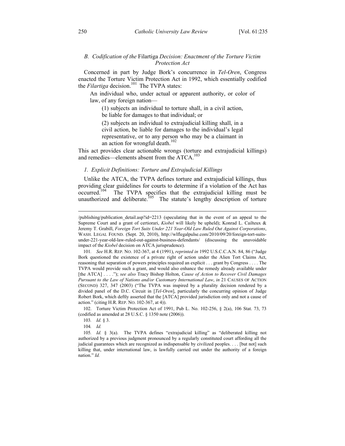# *B. Codification of the* Filartiga *Decision: Enactment of the Torture Victim Protection Act*

Concerned in part by Judge Bork's concurrence in *Tel-Oren*, Congress enacted the Torture Victim Protection Act in 1992, which essentially codified the *Filartiga* decision.<sup>101</sup> The TVPA states:

An individual who, under actual or apparent authority, or color of law, of any foreign nation—

(1) subjects an individual to torture shall, in a civil action, be liable for damages to that individual; or

(2) subjects an individual to extrajudicial killing shall, in a civil action, be liable for damages to the individual's legal representative, or to any person who may be a claimant in an action for wrongful death.<sup>102</sup>

This act provides clear actionable wrongs (torture and extrajudicial killings) and remedies—elements absent from the ATCA.<sup>103</sup>

# *1. Explicit Definitions: Torture and Extrajudicial Killings*

Unlike the ATCA, the TVPA defines torture and extrajudicial killings, thus providing clear guidelines for courts to determine if a violation of the Act has occurred.<sup>104</sup> The TVPA specifies that the extrajudicial killing must be unauthorized and deliberate.<sup>105</sup> The statute's lengthy description of torture

 102. Torture Victim Protection Act of 1991, Pub L. No. 102-256, § 2(a), 106 Stat. 73, 73 (codified as amended at 28 U.S.C. § 1350 note (2006)).

103*. Id.* § 3.

 $\overline{a}$ 

104*. Id.*

<sup>/</sup>publishing/publication\_detail.asp?id=2213 (speculating that in the event of an appeal to the Supreme Court and a grant of certiorari, *Kiobel* will likely be upheld); Konrad L. Cailteux & Jeremy T. Grabill, *Foreign Tort Suits Under 221 Year-Old Law Ruled Out Against Corporations*, WASH. LEGAL FOUND. (Sept. 20, 2010), http://wlflegalpulse.com/2010/09/20/foreign-tort-suitsunder-221-year-old-law-ruled-out-against-business-defendants/ (discussing the unavoidable impact of the *Kiobel* decision on ATCA jurisprudence).

<sup>101</sup>*. See* H.R. REP. NO. 102-367, at 4 (1991), *reprinted in* 1992 U.S.C.C.A.N. 84, 86 ("Judge Bork questioned the existence of a private right of action under the Alien Tort Claims Act, reasoning that separation of powers principles required an explicit . . . grant by Congress . . . . The TVPA would provide such a grant, and would also enhance the remedy already available under [the ATCA] . . . ."); *see also* Tracy Bishop Holton, *Cause of Action to Recover Civil Damages Pursuant to the Law of Nations and/or Customary International Law*, *in* 21 CAUSES OF ACTION (SECOND) 327, 347 (2003) ("The TVPA was inspired by a plurality decision rendered by a divided panel of the D.C. Circuit in [*Tel-Oren*], particularly the concurring opinion of Judge Robert Bork, which deftly asserted that the [ATCA] provided jurisdiction only and not a cause of action." (citing H.R. REP. NO. 102-367, at 4)).

<sup>105</sup>*. Id.* § 3(a). The TVPA defines "extrajudicial killing" as "deliberated killing not authorized by a previous judgment pronounced by a regularly constituted court affording all the judicial guarantees which are recognized as indispensable by civilized peoples. . . . [but not] such killing that, under international law, is lawfully carried out under the authority of a foreign nation." *Id.*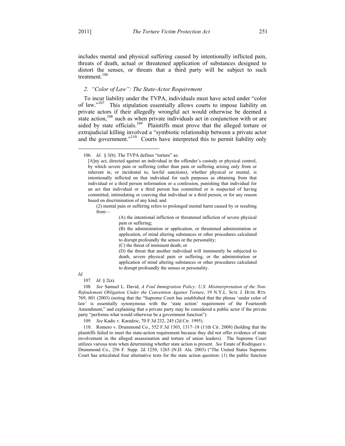includes mental and physical suffering caused by intentionally inflicted pain, threats of death, actual or threatened application of substances designed to distort the senses, or threats that a third party will be subject to such treatment.<sup>106</sup>

# *2. "Color of Law": The State-Actor Requirement*

To incur liability under the TVPA, individuals must have acted under "color of law."<sup>107</sup> This stipulation essentially allows courts to impose liability on private actors if their allegedly wrongful act would otherwise be deemed a state action,<sup>108</sup> such as when private individuals act in conjunction with or are aided by state officials.<sup>109</sup> Plaintiffs must prove that the alleged torture or extrajudicial killing involved a "symbiotic relationship between a private actor and the government."<sup>110</sup> Courts have interpreted this to permit liability only

(B) the administration or application, or threatened administration or application, of mind altering substances or other procedures calculated to disrupt profoundly the senses or the personality;

(C) the threat of imminent death; or

(D) the threat that another individual will imminently be subjected to death, severe physical pain or suffering, or the administration or application of mind altering substances or other procedures calculated to disrupt profoundly the senses or personality.

#### *Id.*

<u>.</u>

107*. Id.* § 2(a).

108*. See* Samuel L. David, *A Foul Immigration Policy: U.S. Misinterpretation of the Non-Refoulement Obligation Under the Convention Against Torture*, 19 N.Y.L. SCH. J. HUM. RTS. 769, 801 (2003) (noting that the "Supreme Court has established that the phrase 'under color of law' is essentially synonymous with the 'state action' requirement of the Fourteenth Amendment," and explaining that a private party may be considered a public actor if the private party "performs what would otherwise be a government function").

109*. See* Kadic v. Karadzic, 70 F.3d 232, 245 (2d Cir. 1995).

 110. Romero v. Drummond Co., 552 F.3d 1303, 1317–18 (11th Cir. 2008) (holding that the plaintiffs failed to meet the state-action requirement because they did not offer evidence of state involvement in the alleged assassination and torture of union leaders). The Supreme Court utilizes various tests when determining whether state action is present. *See* Estate of Rodriquez v. Drummond Co., 256 F. Supp. 2d 1250, 1265 (N.D. Ala. 2003) ("The United States Supreme Court has articulated four alternative tests for the state action question: (1) the public function

<sup>106.</sup> *Id.* § 3(b). The TVPA defines "torture" as:

<sup>[</sup>A]ny act, directed against an individual in the offender's custody or physical control, by which severe pain or suffering (other than pain or suffering arising only from or inherent in, or incidental to, lawful sanctions), whether physical or mental, is intentionally inflicted on that individual for such purposes as obtaining from that individual or a third person information or a confession, punishing that individual for an act that individual or a third person has committed or is suspected of having committed, intimidating or coercing that individual or a third person, or for any reason based on discrimination of any kind; and

<sup>(2)</sup> mental pain or suffering refers to prolonged mental harm caused by or resulting from—

<sup>(</sup>A) the intentional infliction or threatened infliction of severe physical pain or suffering;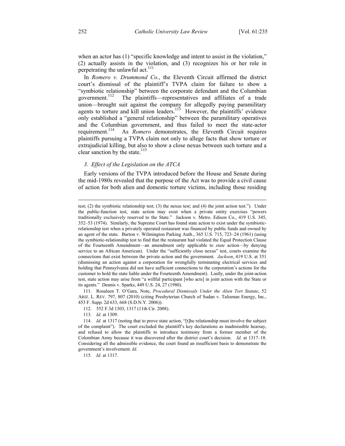when an actor has (1) "specific knowledge and intent to assist in the violation," (2) actually assists in the violation, and (3) recognizes his or her role in perpetrating the unlawful act. $^{111}$ 

In *Romero v. Drummond Co.*, the Eleventh Circuit affirmed the district court's dismissal of the plaintiff's TVPA claim for failure to show a "symbiotic relationship" between the corporate defendant and the Columbian government.<sup>112</sup> The plaintiffs—representatives and affiliates of a trade union—brought suit against the company for allegedly paying paramilitary agents to torture and kill union leaders.<sup>113</sup> However, the plaintiffs' evidence only established a "general relationship" between the paramilitary operatives and the Columbian government, and thus failed to meet the state-actor requirement.<sup>114</sup> As *Romero* demonstrates, the Eleventh Circuit requires As *Romero* demonstrates, the Eleventh Circuit requires plaintiffs pursuing a TVPA claim not only to allege facts that show torture or extrajudicial killing, but also to show a close nexus between such torture and a clear sanction by the state.<sup>115</sup>

# *3. Effect of the Legislation on the ATCA*

Early versions of the TVPA introduced before the House and Senate during the mid-1980s revealed that the purpose of the Act was to provide a civil cause of action for both alien and domestic torture victims, including those residing

 111. Rosaleen T. O'Gara, Note, *Procedural Dismissals Under the Alien Tort Statute*, 52 ARIZ. L. REV. 797, 807 (2010) (citing Presbyterian Church of Sudan v. Talisman Energy, Inc., 453 F. Supp. 2d 633, 668 (S.D.N.Y. 2006)).

113*. Id.* at 1309.

115*. Id.* at 1317.

 $\overline{a}$ 

test; (2) the symbiotic relationship test; (3) the nexus test; and (4) the joint action test."). Under the public-function test, state action may exist when a private entity exercises "powers traditionally exclusively reserved to the State." Jackson v. Metro. Edison Co., 419 U.S. 345, 352–53 (1974). Similarly, the Supreme Court has found state action to exist under the symbioticrelationship test when a privately operated restaurant was financed by public funds and owned by an agent of the state. Burton v. Wilmington Parking Auth., 365 U.S. 715, 723–24 (1961) (using the symbiotic-relationship test to find that the restaurant had violated the Equal Protection Clause of the Fourteenth Amendment—an amendment only applicable to *state* action—by denying service to an African American). Under the "sufficiently close nexus" test, courts examine the connections that exist between the private action and the government. *Jackson*, 419 U.S. at 351 (dismissing an action against a corporation for wrongfully terminating electrical services and holding that Pennsylvania did not have sufficient connections to the corporation's actions for the customer to hold the state liable under the Fourteenth Amendment). Lastly, under the joint-action test, state action may arise from "a willful participant [who acts] in joint action with the State or its agents." Dennis v. Sparks, 449 U.S. 24, 27 (1980).

 <sup>112. 552</sup> F.3d 1303, 1317 (11th Cir. 2008).

<sup>114</sup>*. Id.* at 1317 (noting that to prove state action, "[t]he relationship must involve the subject of the complaint"). The court excluded the plaintiff's key declarations as inadmissible hearsay, and refused to allow the plaintiffs to introduce testimony from a former member of the Colombian Army because it was discovered after the district court's decision. *Id.* at 1317–18. Considering all the admissible evidence, the court found an insufficient basis to demonstrate the government's involvement. *Id.*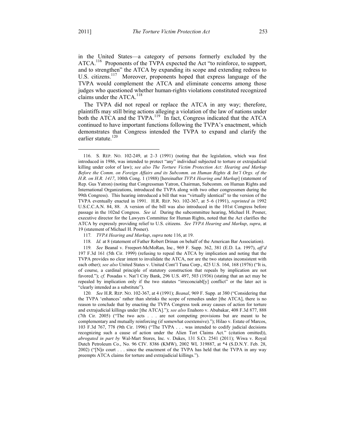in the United States—a category of persons formerly excluded by the ATCA.<sup>116</sup> Proponents of the TVPA expected the Act "to reinforce, to support, and to strengthen" the ATCA by expanding its scope and extending redress to U.S. citizens.<sup>117</sup> Moreover, proponents hoped that express language of the TVPA would complement the ATCA and eliminate concerns among those judges who questioned whether human-rights violations constituted recognized claims under the ATCA.<sup>118</sup>

The TVPA did not repeal or replace the ATCA in any way; therefore, plaintiffs may still bring actions alleging a violation of the law of nations under both the ATCA and the TVPA.<sup>119</sup> In fact, Congress indicated that the ATCA continued to have important functions following the TVPA's enactment, which demonstrates that Congress intended the TVPA to expand and clarify the earlier statute.<sup>120</sup>

120*. See* H.R. REP. NO. 102-367, at 4 (1991); *Beanal*, 969 F. Supp. at 380 ("Considering that the TVPA 'enhances' rather than shrinks the scope of remedies under [the ATCA], there is no reason to conclude that by enacting the TVPA Congress took away causes of action for torture and extrajudicial killings under [the ATCA]."); *see also* Enahoro v. Abubakar, 408 F.3d 877, 888 (7th Cir. 2005) ("The two acts . . . are not competing provisions but are meant to be complementary and mutually reinforcing (if somewhat coextensive)."); Hilao v. Estate of Marcos, 103 F.3d 767, 778 (9th Cir. 1996) ("The TVPA . . . was intended to codify judicial decisions recognizing such a cause of action under the Alien Tort Claims Act." (citation omitted)), *abrogated in part by* Wal-Mart Stores, Inc. v. Dukes, 131 S.Ct. 2541 (2011); Wiwa v. Royal Dutch Petroleum Co., No. 96 CIV. 8386 (KMW), 2002 WL 319887, at \*4 (S.D.N.Y. Feb. 28, 2002) ("[N]o court . . . since the enactment of the TVPA has held that the TVPA in any way preempts ATCA claims for torture and extrajudicial killings.").

1

 <sup>116.</sup> S. REP. NO. 102-249, at 2–3 (1991) (noting that the legislation, which was first introduced in 1986, was intended to protect "any" individual subjected to torture or extrajudicial killing under color of law); *see also The Torture Victim Protection Act: Hearing and Markup Before the Comm. on Foreign Affairs and its Subcomm. on Human Rights & Int'l Orgs. of the H.R. on H.R. 1417*, 100th Cong. 1 (1988) [hereinafter *TVPA Hearing and Markup*] (statement of Rep. Gus Yatron) (noting that Congressman Yatron, Chairman, Subcomm. on Human Rights and International Organizations, introduced the TVPA along with two other congressmen during the 99th Congress). This hearing introduced a bill that was "virtually identical" to the version of the TVPA eventually enacted in 1991. H.R. REP. NO. 102-367, at 5–6 (1991), *reprinted in* 1992 U.S.C.C.A.N. 84, 88. A version of the bill was also introduced in the 101st Congress before passage in the 102nd Congress. *See id.* During the subcommittee hearing, Michael H. Posner, executive director for the Lawyers Committee for Human Rights, noted that the Act clarifies the ATCA by expressly providing relief to U.S. citizens. *See TVPA Hearing and Markup*, *supra*, at 19 (statement of Michael H. Posner).

<sup>117</sup>*. TVPA Hearing and Markup*, *supra* note 116, at 19.

<sup>118</sup>*. Id.* at 8 (statement of Father Robert Drinan on behalf of the American Bar Association).

<sup>119</sup>*. See* Beanal v. Freeport-McMoRan, Inc., 969 F. Supp. 362, 381 (E.D. La. 1997), *aff'd* 197 F.3d 161 (5th Cir. 1999) (refusing to repeal the ATCA by implication and noting that the TVPA provides no clear intent to invalidate the ATCA, nor are the two statutes inconsistent with each other); *see also* United States v. United Cont'l Tuna Corp., 425 U.S. 164, 168 (1976) ("It is, of course, a cardinal principle of statutory construction that repeals by implication are not favored."); *cf.* Posadas v. Nat'l City Bank, 296 U.S. 497, 503 (1936) (stating that an act may be repealed by implication only if the two statutes "irreconciabl[y] conflict" or the later act is "clearly intended as a substitute").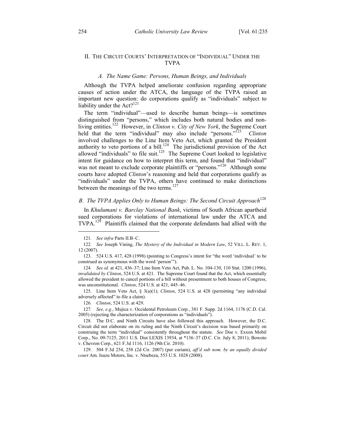### II. THE CIRCUIT COURTS' INTERPRETATION OF "INDIVIDUAL" UNDER THE TVPA

#### *A. The Name Game: Persons, Human Beings, and Individuals*

Although the TVPA helped ameliorate confusion regarding appropriate causes of action under the ATCA, the language of the TVPA raised an important new question: do corporations qualify as "individuals" subject to liability under the  $Act?^{121}$ 

The term "individual"—used to describe human beings—is sometimes distinguished from "persons," which includes both natural bodies and nonliving entities.122 However, in *Clinton v. City of New York*, the Supreme Court held that the term "individual" may also include "persons."123 *Clinton* involved challenges to the Line Item Veto Act, which granted the President authority to veto portions of a bill.<sup>124</sup> The jurisdictional provision of the Act allowed "individuals" to file suit.<sup>125</sup> The Supreme Court looked to legislative intent for guidance on how to interpret this term, and found that "individual" was not meant to exclude corporate plaintiffs or "persons."<sup>126</sup> Although some courts have adopted *Clinton*'s reasoning and held that corporations qualify as "individuals" under the TVPA, others have continued to make distinctions between the meanings of the two terms.<sup>127</sup>

# *B. The TVPA Applies Only to Human Beings: The Second Circuit Approach*<sup>128</sup>

In *Khulumani v. Barclay National Bank*, victims of South African apartheid sued corporations for violations of international law under the ATCA and TVPA.<sup>129</sup> Plaintiffs claimed that the corporate defendants had allied with the

<u>.</u>

124*. See id.* at 421, 436–37; Line Item Veto Act, Pub. L. No. 104-130, 110 Stat. 1200 (1996), *invalidated by Clinton*, 524 U.S. at 421. The Supreme Court found that the Act, which essentially allowed the president to cancel portions of a bill without presentment to both houses of Congress, was unconstitutional. *Clinton*, 524 U.S. at 421, 445–46.

 125. Line Item Veto Act, § 3(a)(1); *Clinton*, 524 U.S. at 428 (permitting "any individual adversely affected" to file a claim).

126*. Clinton*, 524 U.S. at 429.

127*. See, e.g.*, Mujica v. Occidental Petroleum Corp., 381 F. Supp. 2d 1164, 1176 (C.D. Cal. 2005) (rejecting the characterization of corporations as "individuals").

 129. 504 F.3d 254, 258 (2d Cir. 2007) (per curiam), *aff'd sub nom. by an equally divided court* Am. Isuzu Motors, Inc. v. Ntsebeza, 553 U.S. 1028 (2008).

<sup>121</sup>*. See infra* Parts II.B–C.

<sup>122</sup>*. See* Joseph Vining, *The Mystery of the Individual in Modern Law*, 52 VILL. L. REV. 1, 12 (2007).

 <sup>123. 524</sup> U.S. 417, 428 (1998) (pointing to Congress's intent for "the word 'individual' to be construed as synonymous with the word 'person'").

 <sup>128.</sup> The D.C. and Ninth Circuits have also followed this approach. However, the D.C. Circuit did not elaborate on its ruling and the Ninth Circuit's decision was based primarily on construing the term "individual" consistently throughout the statute. *See* Doe v. Exxon Mobil Corp., No. 09-7125, 2011 U.S. Dist LEXIS 13934, at \*136–37 (D.C. Cir. July 8, 2011); Bowoto v. Chevron Corp., 621 F.3d 1116, 1126 (9th Cir. 2010).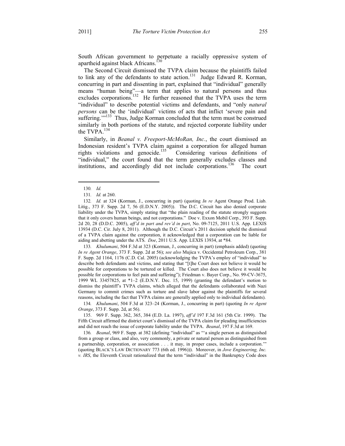South African government to perpetuate a racially oppressive system of apartheid against black Africans.<sup>130</sup>

The Second Circuit dismissed the TVPA claim because the plaintiffs failed to link any of the defendants to state action.<sup>131</sup> Judge Edward R. Korman, concurring in part and dissenting in part, explained that "individual" generally means "human being"—a term that applies to natural persons and thus excludes corporations.<sup>132</sup> He further reasoned that the TVPA uses the term "individual" to describe potential victims and defendants, and "only *natural persons* can be the 'individual' victims of acts that inflict 'severe pain and suffering."<sup>133</sup> Thus, Judge Korman concluded that the term must be construed similarly in both portions of the statute, and rejected corporate liability under the TVPA.<sup>134</sup>

Similarly, in *Beanal v. Freeport-McMoRan, Inc.*, the court dismissed an Indonesian resident's TVPA claim against a corporation for alleged human rights violations and genocide.<sup>135</sup> Considering various definitions of "individual," the court found that the term generally excludes classes and institutions, and accordingly did not include corporations.<sup>136</sup> The court

1

133*. Khulumani*, 504 F.3d at 323 (Korman, J., concurring in part) (emphasis added) (quoting *In re Agent Orange*, 373 F. Supp. 2d at 56); *see also* Mujica v. Occidental Petroleum Corp., 381 F. Supp. 2d 1164, 1176 (C.D. Cal. 2005) (acknowledging the TVPA's employ of "individual" to describe both defendants and victims, and stating that "[t]he Court does not believe it would be possible for corporations to be tortured or killed. The Court also does not believe it would be possible for corporations to feel pain and suffering"); Friedman v. Bayer Corp., No. 99-CV-3675, 1999 WL 33457825, at \*1–2 (E.D.N.Y. Dec. 15, 1999) (granting the defendant's motion to dismiss the plaintiff's TVPA claims, which alleged that the defendants collaborated with Nazi Germany to commit crimes such as torture and slave labor against the plaintiffs for several reasons, including the fact that TVPA claims are generally applied only to individual defendants).

134*. Khulumani*, 504 F.3d at 323–24 (Korman, J., concurring in part) (quoting *In re Agent Orange*, 373 F. Supp. 2d, at 56).

 135. 969 F. Supp. 362, 365, 384 (E.D. La. 1997), *aff'd* 197 F.3d 161 (5th Cir. 1999). The Fifth Circuit affirmed the district court's dismissal of the TVPA claim for pleading insufficiencies and did not reach the issue of corporate liability under the TVPA. *Beanal*, 197 F.3d at 169.

136*. Beanal*, 969 F. Supp. at 382 (defining "individual" as "'a single person as distinguished from a group or class, and also, very commonly, a private or natural person as distinguished from a partnership, corporation, or association . . . it may, in proper cases, include a corporation.'" (quoting BLACK'S LAW DICTIONARY 773 (6th ed. 1996))). Moreover, in *Jove Engineering, Inc. v. IRS*, the Eleventh Circuit rationalized that the term "individual" in the Bankruptcy Code does

<sup>130</sup>*. Id.* 

<sup>131</sup>*. Id.* at 260.

<sup>132</sup>*. Id.* at 324 (Korman, J., concurring in part) (quoting *In re* Agent Orange Prod. Liab. Litig., 373 F. Supp. 2d 7, 56 (E.D.N.Y. 2005)). The D.C. Circuit has also denied corporate liability under the TVPA, simply stating that "the plain reading of the statute strongly suggests that it only covers human beings, and not corporations." Doe v. Exxon Mobil Corp., 393 F. Supp. 2d 20, 28 (D.D.C. 2005), *aff'd in part and rev'd in part*, No. 09-7125, 2011 U.S. App. LEXIS 13934 (D.C. Cir. July 8, 2011). Although the D.C. Circuit's 2011 decision upheld the dismissal of a TVPA claim against the corporation, it acknowledged that a corporation can be liable for aiding and abetting under the ATS. *Doe*, 2011 U.S. App. LEXIS 13934, at \*84.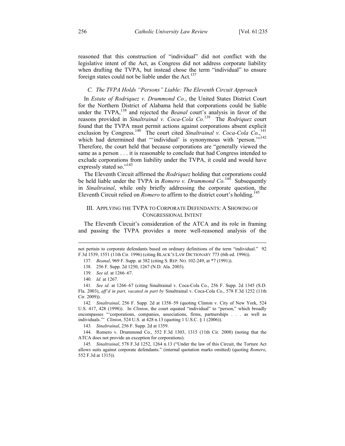reasoned that this construction of "individual" did not conflict with the legislative intent of the Act, as Congress did not address corporate liability when drafting the TVPA, but instead chose the term "individual" to ensure foreign states could not be liable under the Act. $137$ 

# *C. The TVPA Holds "Persons" Liable: The Eleventh Circuit Approach*

In *Estate of Rodriquez v. Drummond Co.*, the United States District Court for the Northern District of Alabama held that corporations could be liable under the TVPA,<sup>138</sup> and rejected the *Beanal* court's analysis in favor of the reasons provided in *Sinaltrainal v. Coca-Cola Co.*139 The *Rodriquez* court found that the TVPA must permit actions against corporations absent explicit exclusion by Congress.<sup>140</sup> The court cited *Sinaltrainal v. Coca-Cola Co.*,<sup>141</sup> which had determined that "'individual' is synonymous with 'person."<sup>142</sup> Therefore, the court held that because corporations are "generally viewed the same as a person . . . it is reasonable to conclude that had Congress intended to exclude corporations from liability under the TVPA, it could and would have expressly stated so."<sup>143</sup>

The Eleventh Circuit affirmed the *Rodriquez* holding that corporations could be held liable under the TVPA in *Romero v. Drummond Co.*<sup>144</sup> Subsequently in *Sinaltrainal*, while only briefly addressing the corporate question, the Eleventh Circuit relied on *Romero* to affirm to the district court's holding.<sup>145</sup>

# III. APPLYING THE TVPA TO CORPORATE DEFENDANTS: A SHOWING OF CONGRESSIONAL INTENT

The Eleventh Circuit's consideration of the ATCA and its role in framing and passing the TVPA provides a more well-reasoned analysis of the

 $\overline{a}$ 

not pertain to corporate defendants based on ordinary definitions of the term "individual." 92 F.3d 1539, 1551 (11th Cir. 1996) (citing BLACK'S LAW DICTIONARY 773 (6th ed. 1996)).

<sup>137</sup>*. Beanal*, 969 F. Supp. at 382 (citing S. REP. NO. 102-249, at \*7 (1991)).

 <sup>138. 256</sup> F. Supp. 2d 1250, 1267 (N.D. Ala. 2003).

<sup>139</sup>*. See id.* at 1266–67.

<sup>140</sup>*. Id.* at 1267.

<sup>141</sup>*. See id.* at 1266–67 (citing Sinaltrainal v. Coca-Cola Co., 256 F. Supp. 2d 1345 (S.D. Fla. 2003), *aff'd in part, vacated in part by* Sinaltrainal v. Coca-Cola Co., 578 F.3d 1252 (11th Cir. 2009)).

<sup>142</sup>*. Sinaltrainal*, 256 F. Supp. 2d at 1358–59 (quoting Clinton v. City of New York, 524 U.S. 417, 428 (1998)). In *Clinton*, the court equated "individual" to "person," which broadly encompasses "'corporations, companies, associations, firms, partnerships . . . as well as individuals.'" *Clinton*, 524 U.S. at 428 n.13 (quoting 1 U.S.C. § 1 (2006)).

<sup>143</sup>*. Sinaltrainal*, 256 F. Supp. 2d at 1359.

 <sup>144.</sup> Romero v. Drummond Co., 552 F.3d 1303, 1315 (11th Cir. 2008) (noting that the ATCA does not provide an exception for corporations).

<sup>145</sup>*. Sinaltrainal*, 578 F.3d 1252, 1264 n.13 ("Under the law of this Circuit, the Torture Act allows suits against corporate defendants." (internal quotation marks omitted) (quoting *Romero*, 552 F.3d at 1315)).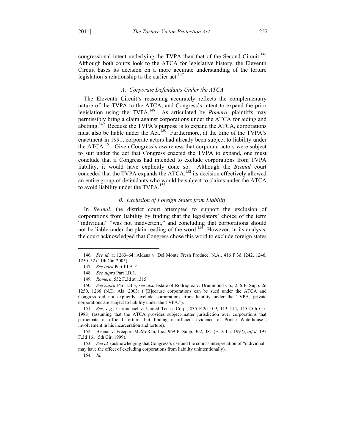congressional intent underlying the TVPA than that of the Second Circuit.<sup>146</sup> Although both courts look to the ATCA for legislative history, the Eleventh Circuit bases its decision on a more accurate understanding of the torture legislation's relationship to the earlier act.<sup>147</sup>

## *A. Corporate Defendants Under the ATCA*

The Eleventh Circuit's reasoning accurately reflects the complementary nature of the TVPA to the ATCA, and Congress's intent to expand the prior legislation using the TVPA.148 As articulated by *Romero*, plaintiffs may permissibly bring a claim against corporations under the ATCA for aiding and abetting.<sup>149</sup> Because the TVPA's purpose is to expand the ATCA, corporations must also be liable under the Act.<sup>150</sup> Furthermore, at the time of the TVPA's enactment in 1991, corporate actors had already been subject to liability under the ATCA.<sup>151</sup> Given Congress's awareness that corporate actors were subject to suit under the act that Congress enacted the TVPA to expand, one must conclude that if Congress had intended to exclude corporations from TVPA liability, it would have explicitly done so. Although the *Beanal* court conceded that the TVPA expands the  $ATCA$ ,<sup>152</sup> its decision effectively allowed an entire group of defendants who would be subject to claims under the ATCA to avoid liability under the TVPA.<sup>153</sup>

#### *B. Exclusion of Foreign States from Liability*

In *Beanal*, the district court attempted to support the exclusion of corporations from liability by finding that the legislators' choice of the term "individual" "was not inadvertent," and concluding that corporations should not be liable under the plain reading of the word.<sup>154</sup> However, in its analysis, the court acknowledged that Congress chose this word to exclude foreign states

151*. See, e.g.*, Carmichael v. United Techs. Corp., 835 F.2d 109, 113–114, 115 (5th Cir. 1988) (assuming that the ATCA provides subject-matter jurisdiction over corporations that participate in official torture, but finding insufficient evidence of Prince Waterhouse's involvement in his incarceration and torture).

 152. Beanal v. Freeport-McMoRan, Inc., 969 F. Supp. 362, 381 (E.D. La. 1997), *aff'd*, 197 F.3d 161 (5th Cir. 1999).

153*. See id.* (acknowledging that Congress's use and the court's interpretation of "individual" may have the effect of excluding corporations from liability unintentionally).

154*. Id.*

<u>.</u>

<sup>146</sup>*. See id.* at 1263–64; Aldana v. Del Monte Fresh Produce, N.A., 416 F.3d 1242, 1246, 1250–52 (11th Cir. 2005).

<sup>147</sup>*. See infra* Part III.A–C.

<sup>148</sup>*. See supra* Part I.B.3.

<sup>149</sup>*. Romero*, 552 F.3d at 1315.

<sup>150</sup>*. See supra* Part I.B.3; *see also* Estate of Rodriquez v. Drummond Co., 256 F. Supp. 2d 1250, 1266 (N.D. Ala. 2003) ("[B]ecause corporations can be sued under the ATCA and Congress did not explicitly exclude corporations from liability under the TVPA, private corporations are subject to liability under the TVPA.").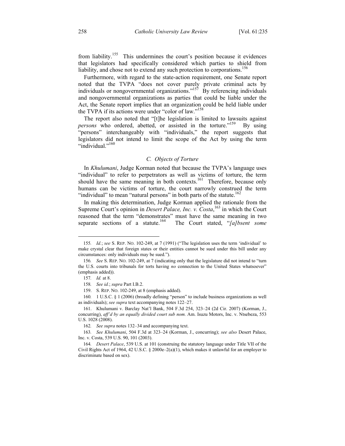from liability.<sup>155</sup> This undermines the court's position because it evidences that legislators had specifically considered which parties to shield from liability, and chose not to extend any such protection to corporations.<sup>156</sup>

Furthermore, with regard to the state-action requirement, one Senate report noted that the TVPA "does not cover purely private criminal acts by individuals or nongovernmental organizations."<sup>157</sup> By referencing individuals and nongovernmental organizations as parties that could be liable under the Act, the Senate report implies that an organization could be held liable under the TVPA if its actions were under "color of law."<sup>158</sup>

The report also noted that "[t]he legislation is limited to lawsuits against *persons* who ordered, abetted, or assisted in the torture."<sup>159</sup> By using "persons" interchangeably with "individuals," the report suggests that legislators did not intend to limit the scope of the Act by using the term "individual."<sup>160</sup>

### *C. Objects of Torture*

In *Khulumani*, Judge Korman noted that because the TVPA's language uses "individual" to refer to perpetrators as well as victims of torture, the term should have the same meaning in both contexts.<sup>161</sup> Therefore, because only humans can be victims of torture, the court narrowly construed the term "individual" to mean "natural persons" in both parts of the statute.<sup>162</sup>

In making this determination, Judge Korman applied the rationale from the Supreme Court's opinion in *Desert Palace, Inc. v. Costa*, <sup>163</sup> in which the Court reasoned that the term "demonstrates" must have the same meaning in two separate sections of a statute.<sup>164</sup> The Court stated, "[a]bsent some

<u>.</u>

<sup>155</sup>*. Id.*; *see* S. REP. NO. 102-249, at 7 (1991) ("The legislation uses the term 'individual' to make crystal clear that foreign states or their entities cannot be sued under this bill under any circumstances: only individuals may be sued.").

<sup>156</sup>*. See* S. REP. NO. 102-249, at 7 (indicating only that the legislature did not intend to "turn the U.S. courts into tribunals for torts having *no* connection to the United States whatsoever" (emphasis added)).

<sup>157</sup>*. Id.* at 8.

<sup>158</sup>*. See id.*; *supra* Part I.B.2.

 <sup>159.</sup> S. REP. NO. 102-249, at 8 (emphasis added).

<sup>160</sup>*.* 1 U.S.C. § 1 (2006) (broadly defining "person" to include business organizations as well as individuals); *see supra* text accompanying notes 122–27.

 <sup>161.</sup> Khulumani v. Barclay Nat'l Bank, 504 F.3d 254, 323–24 (2d Cir. 2007) (Korman, J., concurring), *aff'd by an equally divided court sub nom.* Am. Isuzu Motors, Inc. v. Ntsebeza, 553 U.S. 1028 (2008).

<sup>162</sup>*. See supra* notes 132–34 and accompanying text.

<sup>163</sup>*. See Khulumani*, 504 F.3d at 323–24 (Korman, J., concurring); *see also* Desert Palace, Inc. v. Costa, 539 U.S. 90, 101 (2003).

<sup>164</sup>*. Desert Palace*, 539 U.S. at 101 (construing the statutory language under Title VII of the Civil Rights Act of 1964, 42 U.S.C. § 2000e–2(a)(1), which makes it unlawful for an employer to discriminate based on sex).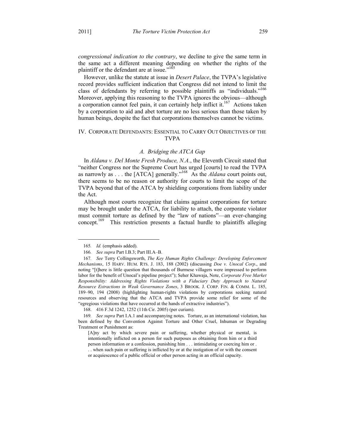*congressional indication to the contrary*, we decline to give the same term in the same act a different meaning depending on whether the rights of the plaintiff or the defendant are at issue."<sup>165</sup>

However, unlike the statute at issue in *Desert Palace*, the TVPA's legislative record provides sufficient indication that Congress did not intend to limit the class of defendants by referring to possible plaintiffs as "individuals."<sup>166</sup> Moreover, applying this reasoning to the TVPA ignores the obvious—although a corporation cannot feel pain, it can certainly help inflict it.<sup>167</sup> Actions taken by a corporation to aid and abet torture are no less serious than those taken by human beings, despite the fact that corporations themselves cannot be victims.

# IV. CORPORATE DEFENDANTS: ESSENTIAL TO CARRY OUT OBJECTIVES OF THE TVPA

# *A. Bridging the ATCA Gap*

In *Aldana v. Del Monte Fresh Produce, N.A.*, the Eleventh Circuit stated that "neither Congress nor the Supreme Court has urged [courts] to read the TVPA as narrowly as . . . the [ATCA] generally."168 As the *Aldana* court points out, there seems to be no reason or authority for courts to limit the scope of the TVPA beyond that of the ATCA by shielding corporations from liability under the Act.

Although most courts recognize that claims against corporations for torture may be brought under the ATCA, for liability to attach, the corporate violator must commit torture as defined by the "law of nations"—an ever-changing concept.<sup>169</sup> This restriction presents a factual hurdle to plaintiffs alleging

1

168. 416 F.3d 1242, 1252 (11th Cir. 2005) (per curiam).

<sup>165</sup>*. Id.* (emphasis added).

<sup>166</sup>*. See supra* Part I.B.3; Part III.A–B.

<sup>167</sup>*. See* Terry Collingsworth, *The Key Human Rights Challenge: Developing Enforcement Mechanisms*, 15 HARV. HUM. RTS. J. 183, 188 (2002) (discussing *Doe v. Unocal Corp*., and noting "[t]here is little question that thousands of Burmese villagers were impressed to perform labor for the benefit of Unocal's pipeline project"); Seher Khawaja, Note, *Corporate Free Market Responsibility: Addressing Rights Violations with a Fiduciary Duty Approach to Natural Resource Extractions in Weak Governance Zones*, 3 BROOK. J. CORP. FIN. & COMM. L. 185, 189–90, 194 (2008) (highlighting human-rights violations by corporations seeking natural resources and observing that the ATCA and TVPA provide some relief for some of the "egregious violations that have occurred at the hands of extractive industries").

<sup>169</sup>*. See supra* Part I.A.1 and accompanying notes. Torture, as an international violation, has been defined by the Convention Against Torture and Other Cruel, Inhuman or Degrading Treatment or Punishment as:

<sup>[</sup>A]ny act by which severe pain or suffering, whether physical or mental, is intentionally inflicted on a person for such purposes as obtaining from him or a third person information or a confession, punishing him . . . intimidating or coercing him or .

<sup>. .</sup> when such pain or suffering is inflicted by or at the instigation of or with the consent or acquiescence of a public official or other person acting in an official capacity.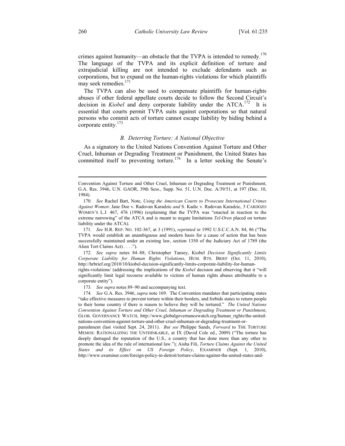crimes against humanity—an obstacle that the TVPA is intended to remedy.<sup>170</sup> The language of the TVPA and its explicit definition of torture and extrajudicial killing are not intended to exclude defendants such as corporations, but to expand on the human-rights violations for which plaintiffs may seek remedies.<sup>171</sup>

The TVPA can also be used to compensate plaintiffs for human-rights abuses if other federal appellate courts decide to follow the Second Circuit's decision in *Kiobel* and deny corporate liability under the ATCA.<sup>172</sup> It is essential that courts permit TVPA suits against corporations so that natural persons who commit acts of torture cannot escape liability by hiding behind a corporate entity.<sup>173</sup>

#### *B. Deterring Torture: A National Objective*

As a signatory to the United Nations Convention Against Torture and Other Cruel, Inhuman or Degrading Treatment or Punishment, the United States has committed itself to preventing torture.<sup>174</sup> In a letter seeking the Senate's

172*. See supra* notes 84–88; Christopher Tansey, Kiobel *Decision Significantly Limits Corporate Liability for Human Rights Violations*, HUM. RTS. BRIEF (Oct. 11, 2010), http://hrbrief.org/2010/10/kiobel-decision-significantly-limits-corporate-liability-for-humanrights-violations/ (addressing the implications of the *Kiobel* decision and observing that it "will significantly limit legal recourse available to victims of human rights abuses attributable to a corporate entity").

173*. See supra* notes 89–90 and accompanying text.

 $\overline{a}$ 

Convention Against Torture and Other Cruel, Inhuman or Degrading Treatment or Punishment, G.A. Res. 3946, U.N. GAOR, 39th Sess., Supp. No. 51, U.N. Doc. A/39/51, at 197 (Dec. 10, 1984).

<sup>170</sup>*. See* Rachel Bart, Note, *Using the American Courts to Prosecute International Crimes Against Women*: Jane Doe v. Radovan Karadzic *and* S. Kadic v. Radovan Karadzic, 3 CARDOZO WOMEN'S L.J. 467, 476 (1996) (explaining that the TVPA was "enacted in reaction to the extreme narrowing" of the ATCA and is meant to negate limitations *Tel-Oren* placed on torture liability under the ATCA).

<sup>171</sup>*. See* H.R. REP. NO. 102-367, at 3 (1991), *reprinted in* 1992 U.S.C.C.A.N. 84, 86 ("The TVPA would establish an unambiguous and modern basis for a cause of action that has been successfully maintained under an existing law, section 1350 of the Judiciary Act of 1789 (the Alien Tort Claims Act) . . . .").

<sup>174</sup>*. See* G.A. Res. 3946, *supra* note 169. The Convention mandates that participating states "take effective measures to prevent torture within their borders, and forbids states to return people to their home country if there is reason to believe they will be tortured." *The United Nations Convention Against Torture and Other Cruel, Inhuman or Degrading Treatment or Punishment*, GLOB. GOVERNANCE WATCH, http://www.globalgovernancewatch.org/human\_rights/the-unitednations-convention-against-torture-and-other-cruel-inhuman-or-degrading-treatment-or-

punishment (last visited Sept. 24, 2011). *But see* Philippe Sands, *Forward* to THE TORTURE MEMOS: RATIONALIZING THE UNTHINKABLE, at IX (David Cole ed., 2009) ("The torture has deeply damaged the reputation of the U.S., a country that has done more than any other to promote the idea of the rule of international law."); Aisha Fili, *Torture Claims Against the United States and its Effect on US Foreign Policy*, EXAMINER (Sept. 1, 2010), http://www.examiner.com/foreign-policy-in-detroit/torture-claims-against-the-united-states-and-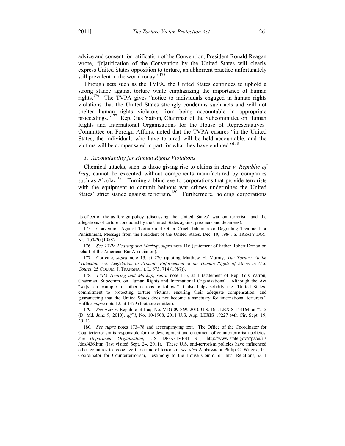$\overline{a}$ 

advice and consent for ratification of the Convention, President Ronald Reagan wrote, "[r]atification of the Convention by the United States will clearly express United States opposition to torture, an abhorrent practice unfortunately still prevalent in the world today."<sup>175</sup>

Through acts such as the TVPA, the United States continues to uphold a strong stance against torture while emphasizing the importance of human rights.176 The TVPA gives "notice to individuals engaged in human rights violations that the United States strongly condemns such acts and will not shelter human rights violators from being accountable in appropriate proceedings."<sup>177</sup> Rep. Gus Yatron, Chairman of the Subcommittee on Human Rights and International Organizations for the House of Representatives' Committee on Foreign Affairs, noted that the TVPA ensures "in the United States, the individuals who have tortured will be held accountable, and the victims will be compensated in part for what they have endured."<sup>178</sup>

# *1. Accountability for Human Rights Violations*

Chemical attacks, such as those giving rise to claims in *Aziz v. Republic of Iraq*, cannot be executed without components manufactured by companies such as Alcolac.<sup>179</sup> Turning a blind eye to corporations that provide terrorists with the equipment to commit heinous war crimes undermines the United States' strict stance against terrorism.<sup>180</sup> Furthermore, holding corporations

178*. TVPA Hearing and Markup*, *supra* note 116, at 1 (statement of Rep. Gus Yatron, Chairman, Subcomm. on Human Rights and International Organizations). Although the Act "set[s] an example for other nations to follow," it also helps solidify the "United States' commitment to protecting torture victims, ensuring their adequate compensation, and guaranteeing that the United States does not become a sanctuary for international torturers." Haffke, *supra* note 12, at 1479 (footnote omitted).

its-effect-on-the-us-foreign-policy (discussing the United States' war on terrorism and the allegations of torture conducted by the United States against prisoners and detainees).

 <sup>175.</sup> Convention Against Torture and Other Cruel, Inhuman or Degrading Treatment or Punishment, Message from the President of the United States, Dec. 10, 1984, S. TREATY DOC. NO. 100-20 (1988).

<sup>176</sup>*. See TVPA Hearing and Markup*, *supra* note 116 (statement of Father Robert Drinan on behalf of the American Bar Association).

 <sup>177.</sup> Correale, *supra* note 13, at 220 (quoting Matthew H. Murray, *The Torture Victim Protection Act: Legislation to Promote Enforcement of the Human Rights of Aliens in U.S. Courts*, 25 COLUM. J. TRANSNAT'L L. 673, 714 (1987)).

<sup>179</sup>*. See* Aziz v. Republic of Iraq, No. MJG-09-869, 2010 U.S. Dist LEXIS 143164, at \*2–5 (D. Md. June 9, 2010), *aff'd*, No. 10-1908, 2011 U.S. App. LEXIS 19227 (4th Cir. Sept. 19, 2011).

<sup>180</sup>*. See supra* notes 173–78 and accompanying text. The Office of the Coordinator for Counterterrorism is responsible for the development and enactment of counterterrorism policies. *See Department Organization*, U.S. DEPARTMENT ST., http://www.state.gov/r/pa/ei/rls /dos/436.htm (last visited Sept. 24, 2011). These U.S. anti-terrorism policies have influenced other countries to recognize the crime of terrorism. *see also* Ambassador Philip C. Wilcox, Jr., Coordinator for Counterterrorism, Testimony to the House Comm. on Int'l Relations, *in* 1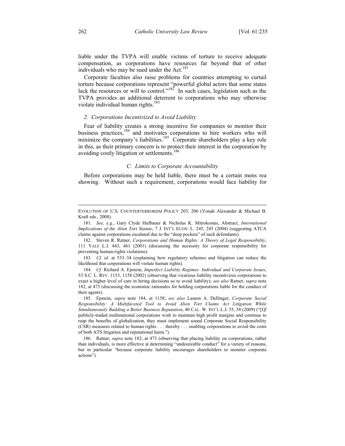liable under the TVPA will enable victims of torture to receive adequate compensation, as corporations have resources far beyond that of other individuals who may be sued under the  $Act.$ <sup>181</sup>

Corporate faculties also raise problems for countries attempting to curtail torture because corporations represent "powerful global actors that some states lack the resources or will to control." $18^{2}$  In such cases, legislation such as the TVPA provides an additional deterrent to corporations who may otherwise violate individual human rights.<sup>183</sup>

#### *2. Corporations Incentivized to Avoid Liability*

Fear of liability creates a strong incentive for companies to monitor their business practices,<sup>184</sup> and motivates corporations to hire workers who will minimize the company's liabilities.<sup>185</sup> Corporate shareholders play a key role in this, as their primary concern is to protect their interest in the corporation by avoiding costly litigation or settlements.<sup>186</sup>

#### *C. Limits to Corporate Accountability*

Before corporations may be held liable, there must be a certain mens rea showing. Without such a requirement, corporations would face liability for

 $\overline{a}$ 

EVOLUTION OF U.S. COUNTERTERRORISM POLICY 203, 206 (Yonah Alexander & Michael B. Kraft eds., 2008).

<sup>181</sup>*. See, e.g.*, Gary Clyde Hufbauer & Nicholas K. Mitrokostas, Abstract, *International Implications of the Alien Tort Statute*, 7 J. INT'L ECON. L. 245, 245 (2004) (suggesting ATCA claims against corporations escalated due to the "deep pockets" of such defendants).

 <sup>182.</sup> Steven R. Ratner, *Corporations and Human Rights: A Theory of Legal Responsibility*, 111 YALE L.J. 443, 461 (2001) (discussing the necessity for corporate responsibility for preventing human-rights violations).

<sup>183</sup>*. Cf. id.* at 533–34 (explaining how regulatory schemes and litigation can reduce the likelihood that corporations will violate human rights).

<sup>184</sup>*. Cf.* Richard A. Epstein, *Imperfect Liability Regimes: Individual and Corporate Issues*, 53 S.C. L. REV. 1153, 1158 (2002) (observing that vicarious liability incentivizes corporations to exact a higher level of care in hiring decisions so to avoid liability); *see also* Ratner, *supra* note 182, at 473 (discussing the economic rationales for holding corporations liable for the conduct of their agents).

 <sup>185.</sup> Epstein, *supra* note 184, at 1158; *see also* Lauren A. Dellinger, *Corporate Social Responsibility: A Multifaceted Tool to Avoid Alien Tort Claims Act Litigation While Simultaneously Building a Better Business Reputation*, 40 CAL. W. INT'L L.J. 55, 58 (2009) ("[I]f publicly-traded multinational corporations wish to maintain high profit margins and continue to reap the benefits of globalization, they must implement sound Corporate Social Responsibility (CSR) measures related to human rights . . . thereby . . . enabling corporations to avoid the costs of both ATS litigation and reputational harm.").

 <sup>186.</sup> Ratner, *supra* note 182, at 473 (observing that placing liability on corporations, rather than individuals, is more effective at determining "undesireable conduct" for a variety of reasons, but in particular "because corporate liability encourages shareholders to monitor corporate actions").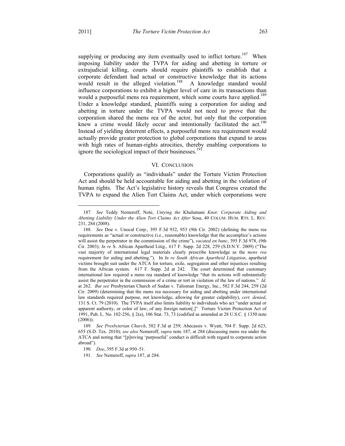1

supplying or producing any item eventually used to inflict torture.<sup>187</sup> When imposing liability under the TVPA for aiding and abetting in torture or extrajudicial killing, courts should require plaintiffs to establish that a corporate defendant had actual or constructive knowledge that its actions would result in the alleged violation.<sup>188</sup> A knowledge standard would influence corporations to exhibit a higher level of care in its transactions than would a purposeful mens rea requirement, which some courts have applied.<sup>189</sup> Under a knowledge standard, plaintiffs suing a corporation for aiding and abetting in torture under the TVPA would not need to prove that the corporation shared the mens rea of the actor, but only that the corporation knew a crime would likely occur and intentionally facilitated the act.<sup>190</sup> Instead of yielding deterrent effects, a purposeful mens rea requirement would actually provide greater protection to global corporations that expand to areas with high rates of human-rights atrocities, thereby enabling corporations to ignore the sociological impact of their businesses.<sup>191</sup>

### VI. CONCLUSION

Corporations qualify as "individuals" under the Torture Victim Protection Act and should be held accountable for aiding and abetting in the violation of human rights. The Act's legislative history reveals that Congress created the TVPA to expand the Alien Tort Claims Act, under which corporations were

<sup>187</sup>*. See* Teddy Nemeroff, Note, *Untying the* Khulumani *Knot: Corporate Aiding and Abetting Liability Under the Alien Tort Claims Act After* Sosa, 40 COLUM. HUM. RTS. L. REV. 231, 284 (2008).

<sup>188</sup>*. See* Doe v. Unocal Corp., 395 F.3d 932, 953 (9th Cir. 2002) (defining the mens rea requirements as "actual or constructive (i.e., reasonable) knowledge that the accomplice's actions will assist the perpetrator in the commission of the crime"), *vacated en banc*, 395 F.3d 978, (9th Cir. 2003); *In re* S. African Apartheid Litig., 617 F. Supp. 2d 228, 259 (S.D.N.Y. 2009) ("The vast majority of international legal materials clearly prescribe knowledge as the *mens rea* requirement for aiding and abetting."). In *In re South African Apartheid Litigation*, apartheid victims brought suit under the ATCA for torture, exile, segregation and other injustices resulting from the African system. 617 F. Supp. 2d at 242. The court determined that customary international law required a mens rea standard of knowledge "that its actions will substantially assist the perpetrator in the commission of a crime or tort in violation of the law of nations." *Id.* at 262. *But see* Presbyterian Church of Sudan v. Talisman Energy, Inc., 582 F.3d 244, 259 (2d Cir. 2009) (determining that the mens rea necessary for aiding and abetting under international law standards required purpose, not knowledge, allowing for greater culpability), *cert. denied*, 131 S. Ct. 79 (2010). The TVPA itself also limits liability to individuals who act "under actual or apparent authority, or color of law, of any foreign nation[.]" Torture Victim Protection Act of 1991, Pub. L. No. 102-256, § 2(a), 106 Stat. 73, 73 (codified as amended at 28 U.S.C. § 1350 note (2006)).

<sup>189</sup>*. See Presbyterian Church*, 582 F.3d at 259; Abecassis v. Wyatt, 704 F. Supp. 2d 623, 655 (S.D. Tex. 2010); *see also* Nemeroff, *supra* note 187, at 284 (discussing mens rea under the ATCA and noting that "[p]roving 'purposeful' conduct is difficult with regard to corporate action abroad").

<sup>190</sup>*. Doe*, 395 F.3d at 950–51.

<sup>191</sup>*. See* Nemeroff, *supra* 187, at 284.